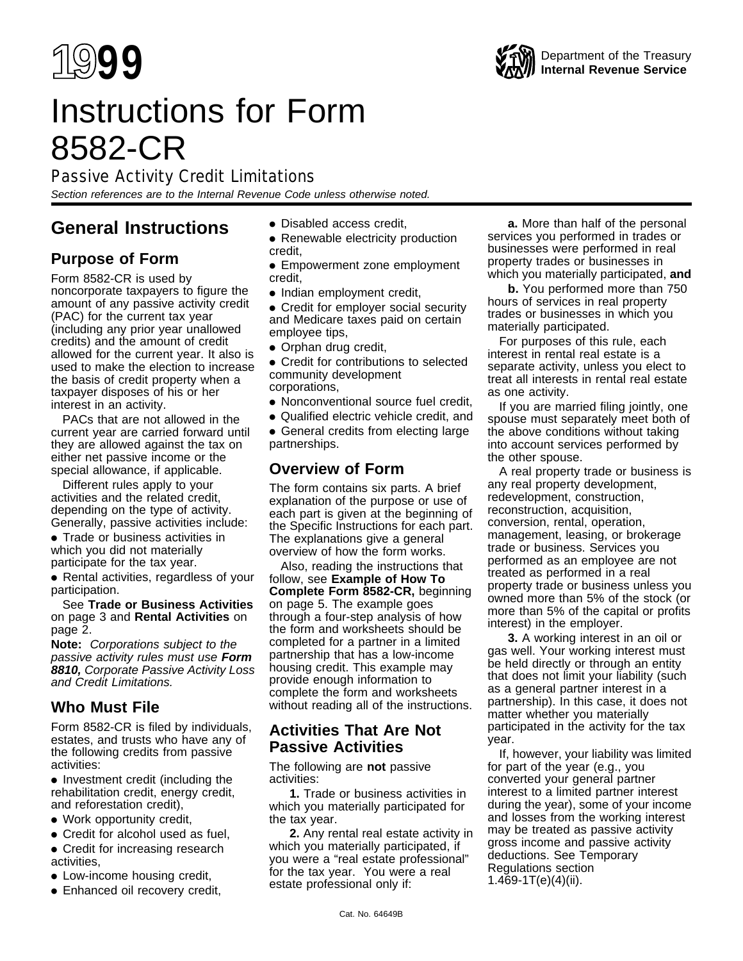

# Instructions for Form 8582-CR

Passive Activity Credit Limitations

Section references are to the Internal Revenue Code unless otherwise noted.

# **General Instructions**

# **Purpose of Form**

Form 8582-CR is used by noncorporate taxpayers to figure the amount of any passive activity credit (PAC) for the current tax year (including any prior year unallowed credits) and the amount of credit allowed for the current year. It also is used to make the election to increase the basis of credit property when a taxpayer disposes of his or her interest in an activity.

PACs that are not allowed in the current year are carried forward until they are allowed against the tax on either net passive income or the special allowance, if applicable.

Different rules apply to your activities and the related credit, depending on the type of activity. Generally, passive activities include:

● Trade or business activities in which you did not materially participate for the tax year.

• Rental activities, regardless of your participation.

See **Trade or Business Activities** on page 3 and **Rental Activities** on page 2.

**Note:** Corporations subject to the passive activity rules must use **Form 8810,** Corporate Passive Activity Loss and Credit Limitations.

# **Who Must File**

Form 8582-CR is filed by individuals, estates, and trusts who have any of the following credits from passive activities:

● Investment credit (including the rehabilitation credit, energy credit, and reforestation credit),

- Work opportunity credit,
- Credit for alcohol used as fuel,
- Credit for increasing research activities,
- Low-income housing credit,
- Enhanced oil recovery credit,
- Disabled access credit,
- Renewable electricity production credit,
- Empowerment zone employment credit,
- Indian employment credit,

• Credit for employer social security and Medicare taxes paid on certain employee tips,

● Orphan drug credit,

● Credit for contributions to selected community development corporations,

- Nonconventional source fuel credit,
- Qualified electric vehicle credit, and

• General credits from electing large partnerships.

# **Overview of Form**

The form contains six parts. A brief explanation of the purpose or use of each part is given at the beginning of the Specific Instructions for each part. The explanations give a general overview of how the form works.

Also, reading the instructions that follow, see **Example of How To Complete Form 8582-CR,** beginning on page 5. The example goes through a four-step analysis of how the form and worksheets should be completed for a partner in a limited partnership that has a low-income housing credit. This example may provide enough information to complete the form and worksheets without reading all of the instructions.

# **Activities That Are Not Passive Activities**

The following are **not** passive activities:

**1.** Trade or business activities in which you materially participated for the tax year.

**2.** Any rental real estate activity in which you materially participated, if you were a "real estate professional" for the tax year. You were a real estate professional only if:

**a.** More than half of the personal services you performed in trades or businesses were performed in real property trades or businesses in which you materially participated, **and**

**b.** You performed more than 750 hours of services in real property trades or businesses in which you materially participated.

For purposes of this rule, each interest in rental real estate is a separate activity, unless you elect to treat all interests in rental real estate as one activity.

If you are married filing jointly, one spouse must separately meet both of the above conditions without taking into account services performed by the other spouse.

A real property trade or business is any real property development, redevelopment, construction, reconstruction, acquisition, conversion, rental, operation, management, leasing, or brokerage trade or business. Services you performed as an employee are not treated as performed in a real property trade or business unless you owned more than 5% of the stock (or more than 5% of the capital or profits interest) in the employer.

**3.** A working interest in an oil or gas well. Your working interest must be held directly or through an entity that does not limit your liability (such as a general partner interest in a partnership). In this case, it does not matter whether you materially participated in the activity for the tax year.

If, however, your liability was limited for part of the year (e.g., you converted your general partner interest to a limited partner interest during the year), some of your income and losses from the working interest may be treated as passive activity gross income and passive activity deductions. See Temporary Regulations section 1.469-1T(e)(4)(ii).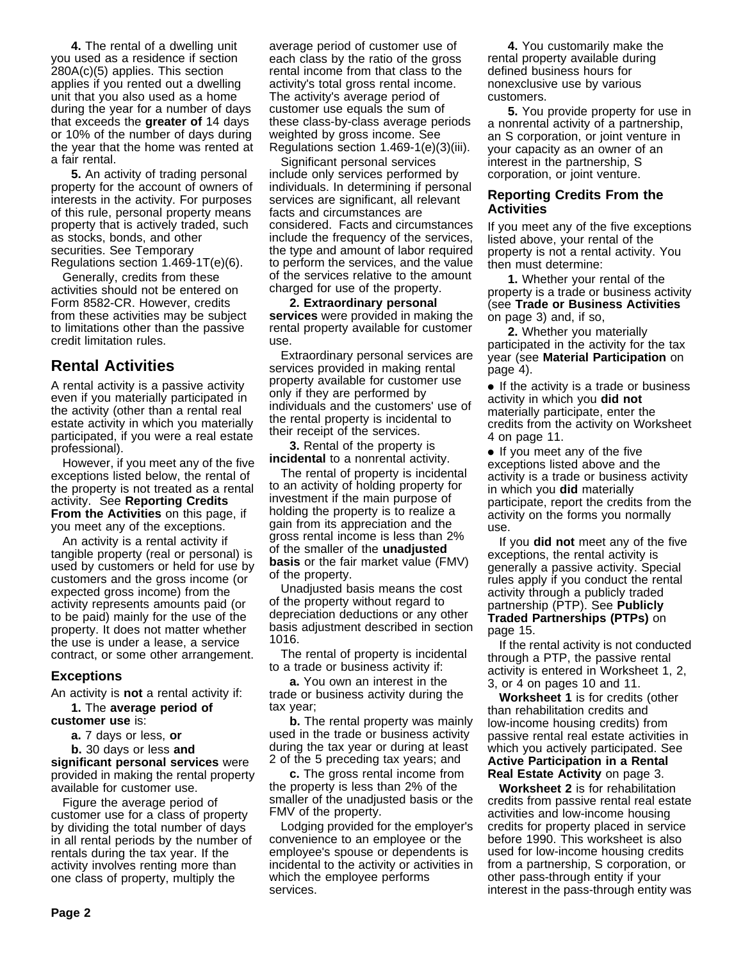**4.** The rental of a dwelling unit you used as a residence if section 280A(c)(5) applies. This section applies if you rented out a dwelling unit that you also used as a home during the year for a number of days that exceeds the **greater of** 14 days or 10% of the number of days during the year that the home was rented at a fair rental.

**5.** An activity of trading personal property for the account of owners of interests in the activity. For purposes of this rule, personal property means property that is actively traded, such as stocks, bonds, and other securities. See Temporary Regulations section 1.469-1T(e)(6).

Generally, credits from these activities should not be entered on Form 8582-CR. However, credits from these activities may be subject to limitations other than the passive credit limitation rules.

# **Rental Activities**

A rental activity is a passive activity even if you materially participated in the activity (other than a rental real estate activity in which you materially participated, if you were a real estate professional).

However, if you meet any of the five exceptions listed below, the rental of the property is not treated as a rental activity. See **Reporting Credits From the Activities** on this page, if you meet any of the exceptions.

An activity is a rental activity if tangible property (real or personal) is used by customers or held for use by customers and the gross income (or expected gross income) from the activity represents amounts paid (or to be paid) mainly for the use of the property. It does not matter whether the use is under a lease, a service contract, or some other arrangement.

### **Exceptions**

An activity is **not** a rental activity if:

**1.** The **average period of customer use** is:

**a.** 7 days or less, **or**

**b.** 30 days or less **and significant personal services** were provided in making the rental property available for customer use.

Figure the average period of customer use for a class of property by dividing the total number of days in all rental periods by the number of rentals during the tax year. If the activity involves renting more than one class of property, multiply the

average period of customer use of each class by the ratio of the gross rental income from that class to the activity's total gross rental income. The activity's average period of customer use equals the sum of these class-by-class average periods weighted by gross income. See Regulations section 1.469-1(e)(3)(iii).

Significant personal services include only services performed by individuals. In determining if personal services are significant, all relevant facts and circumstances are considered. Facts and circumstances include the frequency of the services, the type and amount of labor required to perform the services, and the value of the services relative to the amount charged for use of the property.

**2. Extraordinary personal services** were provided in making the rental property available for customer use.

Extraordinary personal services are services provided in making rental property available for customer use only if they are performed by individuals and the customers' use of the rental property is incidental to their receipt of the services.

**3.** Rental of the property is **incidental** to a nonrental activity.

The rental of property is incidental to an activity of holding property for investment if the main purpose of holding the property is to realize a gain from its appreciation and the gross rental income is less than 2% of the smaller of the **unadjusted basis** or the fair market value (FMV) of the property.

Unadjusted basis means the cost of the property without regard to depreciation deductions or any other basis adjustment described in section 1016.

The rental of property is incidental to a trade or business activity if:

**a.** You own an interest in the trade or business activity during the tax year;

**b.** The rental property was mainly used in the trade or business activity during the tax year or during at least 2 of the 5 preceding tax years; and

**c.** The gross rental income from the property is less than 2% of the smaller of the unadjusted basis or the FMV of the property.

Lodging provided for the employer's convenience to an employee or the employee's spouse or dependents is incidental to the activity or activities in which the employee performs services.

**4.** You customarily make the rental property available during defined business hours for nonexclusive use by various customers.

**5.** You provide property for use in a nonrental activity of a partnership, an S corporation, or joint venture in your capacity as an owner of an interest in the partnership, S corporation, or joint venture.

#### **Reporting Credits From the Activities**

If you meet any of the five exceptions listed above, your rental of the property is not a rental activity. You then must determine:

**1.** Whether your rental of the property is a trade or business activity (see **Trade or Business Activities** on page 3) and, if so,

**2.** Whether you materially participated in the activity for the tax year (see **Material Participation** on page 4).

• If the activity is a trade or business activity in which you **did not** materially participate, enter the credits from the activity on Worksheet 4 on page 11.

● If you meet any of the five exceptions listed above and the activity is a trade or business activity in which you **did** materially participate, report the credits from the activity on the forms you normally use.

If you **did not** meet any of the five exceptions, the rental activity is generally a passive activity. Special rules apply if you conduct the rental activity through a publicly traded partnership (PTP). See **Publicly Traded Partnerships (PTPs)** on page 15.

If the rental activity is not conducted through a PTP, the passive rental activity is entered in Worksheet 1, 2, 3, or 4 on pages 10 and 11.

**Worksheet 1** is for credits (other than rehabilitation credits and low-income housing credits) from passive rental real estate activities in which you actively participated. See **Active Participation in a Rental Real Estate Activity** on page 3.

**Worksheet 2** is for rehabilitation credits from passive rental real estate activities and low-income housing credits for property placed in service before 1990. This worksheet is also used for low-income housing credits from a partnership, S corporation, or other pass-through entity if your interest in the pass-through entity was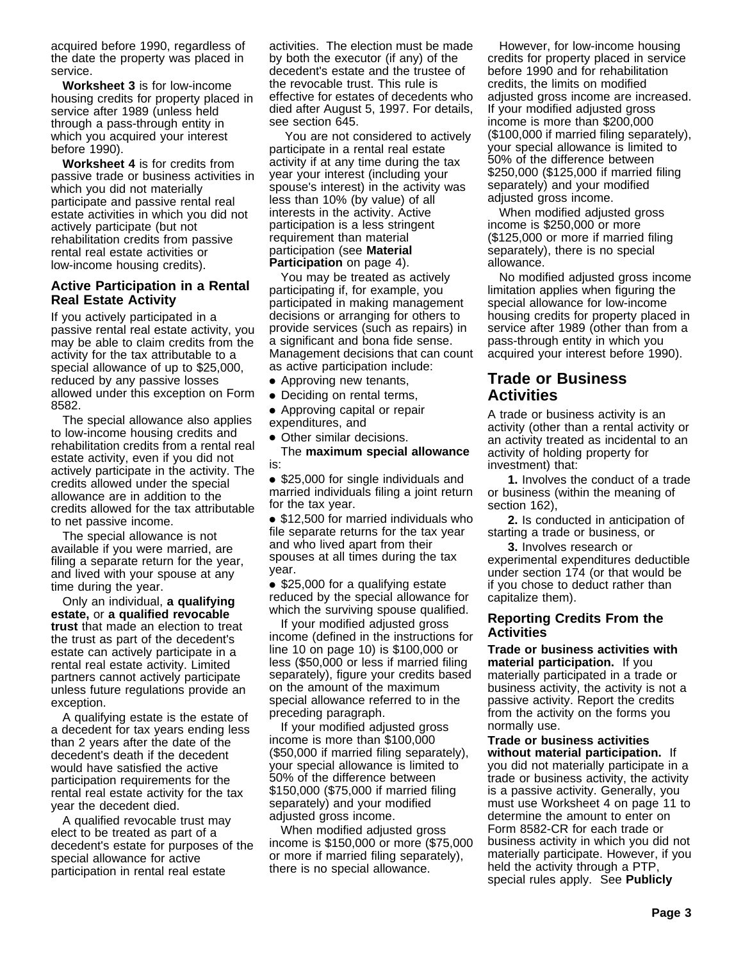acquired before 1990, regardless of the date the property was placed in service.

**Worksheet 3** is for low-income housing credits for property placed in service after 1989 (unless held through a pass-through entity in which you acquired your interest before 1990).

**Worksheet 4** is for credits from passive trade or business activities in which you did not materially participate and passive rental real estate activities in which you did not actively participate (but not rehabilitation credits from passive rental real estate activities or low-income housing credits).

#### **Active Participation in a Rental Real Estate Activity**

If you actively participated in a passive rental real estate activity, you may be able to claim credits from the activity for the tax attributable to a special allowance of up to \$25,000, reduced by any passive losses allowed under this exception on Form 8582.

The special allowance also applies to low-income housing credits and rehabilitation credits from a rental real estate activity, even if you did not actively participate in the activity. The credits allowed under the special allowance are in addition to the credits allowed for the tax attributable to net passive income.

The special allowance is not available if you were married, are filing a separate return for the year, and lived with your spouse at any time during the year.

Only an individual, **a qualifying estate,** or **a qualified revocable trust** that made an election to treat the trust as part of the decedent's estate can actively participate in a rental real estate activity. Limited partners cannot actively participate unless future regulations provide an exception.

A qualifying estate is the estate of a decedent for tax years ending less than 2 years after the date of the decedent's death if the decedent would have satisfied the active participation requirements for the rental real estate activity for the tax year the decedent died.

A qualified revocable trust may elect to be treated as part of a decedent's estate for purposes of the special allowance for active participation in rental real estate

activities. The election must be made by both the executor (if any) of the decedent's estate and the trustee of the revocable trust. This rule is effective for estates of decedents who died after August 5, 1997. For details, see section 645.

 You are not considered to actively participate in a rental real estate activity if at any time during the tax year your interest (including your spouse's interest) in the activity was less than 10% (by value) of all interests in the activity. Active participation is a less stringent requirement than material participation (see **Material Participation** on page 4).

You may be treated as actively participating if, for example, you participated in making management decisions or arranging for others to provide services (such as repairs) in a significant and bona fide sense. Management decisions that can count as active participation include:

- Approving new tenants,
- Deciding on rental terms,
- Approving capital or repair expenditures, and
- Other similar decisions.

The **maximum special allowance** is:

● \$25,000 for single individuals and married individuals filing a joint return for the tax year.

● \$12,500 for married individuals who file separate returns for the tax year and who lived apart from their spouses at all times during the tax year.

● \$25,000 for a qualifying estate reduced by the special allowance for which the surviving spouse qualified.

If your modified adjusted gross income (defined in the instructions for line 10 on page 10) is \$100,000 or less (\$50,000 or less if married filing separately), figure your credits based on the amount of the maximum special allowance referred to in the preceding paragraph.

If your modified adjusted gross income is more than \$100,000 (\$50,000 if married filing separately), your special allowance is limited to 50% of the difference between \$150,000 (\$75,000 if married filing separately) and your modified adjusted gross income.

When modified adjusted gross income is \$150,000 or more (\$75,000 or more if married filing separately), there is no special allowance.

However, for low-income housing credits for property placed in service before 1990 and for rehabilitation credits, the limits on modified adjusted gross income are increased. If your modified adjusted gross income is more than \$200,000 (\$100,000 if married filing separately), your special allowance is limited to 50% of the difference between \$250,000 (\$125,000 if married filing separately) and your modified adjusted gross income.

When modified adjusted gross income is \$250,000 or more (\$125,000 or more if married filing separately), there is no special allowance.

No modified adjusted gross income limitation applies when figuring the special allowance for low-income housing credits for property placed in service after 1989 (other than from a pass-through entity in which you acquired your interest before 1990).

# **Trade or Business Activities**

A trade or business activity is an activity (other than a rental activity or an activity treated as incidental to an activity of holding property for investment) that:

**1.** Involves the conduct of a trade or business (within the meaning of section 162),

**2.** Is conducted in anticipation of starting a trade or business, or

**3.** Involves research or experimental expenditures deductible under section 174 (or that would be if you chose to deduct rather than capitalize them).

#### **Reporting Credits From the Activities**

**Trade or business activities with material participation.** If you materially participated in a trade or business activity, the activity is not a passive activity. Report the credits from the activity on the forms you normally use.

**Trade or business activities without material participation.** If you did not materially participate in a trade or business activity, the activity is a passive activity. Generally, you must use Worksheet 4 on page 11 to determine the amount to enter on Form 8582-CR for each trade or business activity in which you did not materially participate. However, if you held the activity through a PTP, special rules apply. See **Publicly**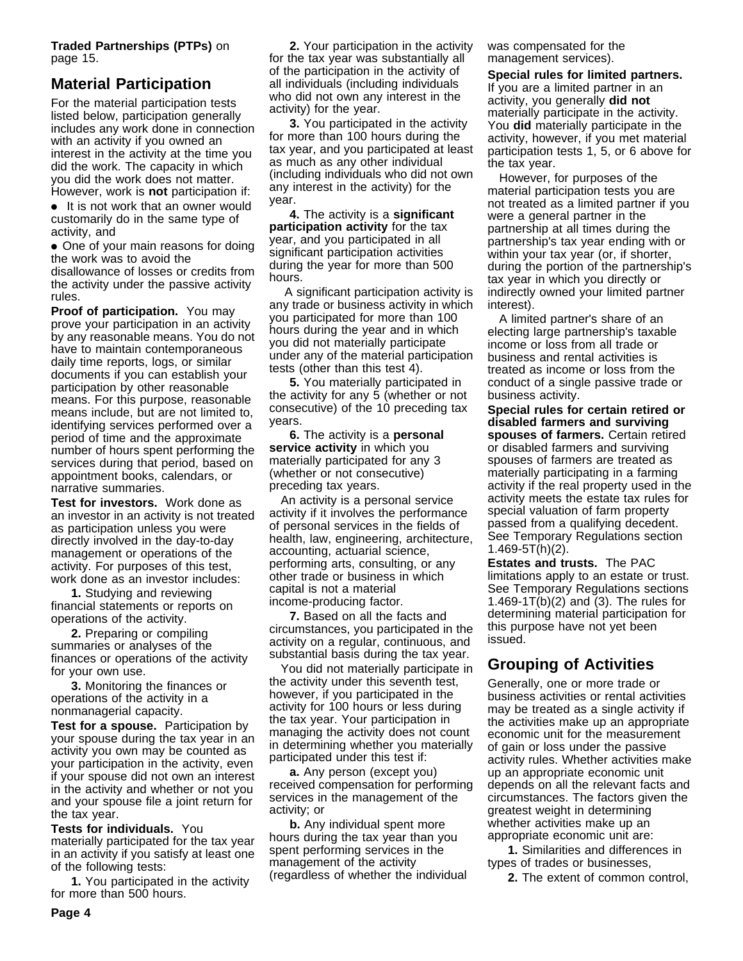**Traded Partnerships (PTPs)** on page 15.

# **Material Participation**

For the material participation tests listed below, participation generally includes any work done in connection with an activity if you owned an interest in the activity at the time you did the work. The capacity in which you did the work does not matter. However, work is **not** participation if:

● It is not work that an owner would customarily do in the same type of activity, and

• One of your main reasons for doing the work was to avoid the disallowance of losses or credits from the activity under the passive activity rules.

**Proof of participation.** You may prove your participation in an activity by any reasonable means. You do not have to maintain contemporaneous daily time reports, logs, or similar documents if you can establish your participation by other reasonable means. For this purpose, reasonable means include, but are not limited to, identifying services performed over a period of time and the approximate number of hours spent performing the services during that period, based on appointment books, calendars, or narrative summaries.

**Test for investors.** Work done as an investor in an activity is not treated as participation unless you were directly involved in the day-to-day management or operations of the activity. For purposes of this test, work done as an investor includes:

**1.** Studying and reviewing financial statements or reports on operations of the activity.

**2.** Preparing or compiling summaries or analyses of the finances or operations of the activity for your own use.

**3.** Monitoring the finances or operations of the activity in a nonmanagerial capacity.

**Test for a spouse.** Participation by your spouse during the tax year in an activity you own may be counted as your participation in the activity, even if your spouse did not own an interest in the activity and whether or not you and your spouse file a joint return for the tax year.

**Tests for individuals.** You materially participated for the tax year in an activity if you satisfy at least one of the following tests:

**1.** You participated in the activity for more than 500 hours.

**2.** Your participation in the activity for the tax year was substantially all of the participation in the activity of all individuals (including individuals who did not own any interest in the activity) for the year.

**3.** You participated in the activity for more than 100 hours during the tax year, and you participated at least as much as any other individual (including individuals who did not own any interest in the activity) for the year.

**4.** The activity is a **significant participation activity** for the tax year, and you participated in all significant participation activities during the year for more than 500 hours.

 A significant participation activity is any trade or business activity in which you participated for more than 100 hours during the year and in which you did not materially participate under any of the material participation tests (other than this test 4).

**5.** You materially participated in the activity for any 5 (whether or not consecutive) of the 10 preceding tax years.

**6.** The activity is a **personal service activity** in which you materially participated for any 3 (whether or not consecutive) preceding tax years.

An activity is a personal service activity if it involves the performance of personal services in the fields of health, law, engineering, architecture, accounting, actuarial science, performing arts, consulting, or any other trade or business in which capital is not a material income-producing factor.

**7.** Based on all the facts and circumstances, you participated in the activity on a regular, continuous, and substantial basis during the tax year.

You did not materially participate in the activity under this seventh test, however, if you participated in the activity for 100 hours or less during the tax year. Your participation in managing the activity does not count in determining whether you materially participated under this test if:

**a.** Any person (except you) received compensation for performing services in the management of the activity; or

**b.** Any individual spent more hours during the tax year than you spent performing services in the management of the activity (regardless of whether the individual was compensated for the management services).

**Special rules for limited partners.** If you are a limited partner in an activity, you generally **did not** materially participate in the activity. You **did** materially participate in the activity, however, if you met material participation tests 1, 5, or 6 above for the tax year.

However, for purposes of the material participation tests you are not treated as a limited partner if you were a general partner in the partnership at all times during the partnership's tax year ending with or within your tax year (or, if shorter, during the portion of the partnership's tax year in which you directly or indirectly owned your limited partner interest).

A limited partner's share of an electing large partnership's taxable income or loss from all trade or business and rental activities is treated as income or loss from the conduct of a single passive trade or business activity.

**Special rules for certain retired or disabled farmers and surviving spouses of farmers.** Certain retired or disabled farmers and surviving spouses of farmers are treated as materially participating in a farming activity if the real property used in the activity meets the estate tax rules for special valuation of farm property passed from a qualifying decedent. See Temporary Regulations section 1.469-5T(h)(2).

**Estates and trusts.** The PAC limitations apply to an estate or trust. See Temporary Regulations sections 1.469-1T(b)(2) and (3). The rules for determining material participation for this purpose have not yet been issued.

# **Grouping of Activities**

Generally, one or more trade or business activities or rental activities may be treated as a single activity if the activities make up an appropriate economic unit for the measurement of gain or loss under the passive activity rules. Whether activities make up an appropriate economic unit depends on all the relevant facts and circumstances. The factors given the greatest weight in determining whether activities make up an appropriate economic unit are:

**1.** Similarities and differences in types of trades or businesses,

**2.** The extent of common control,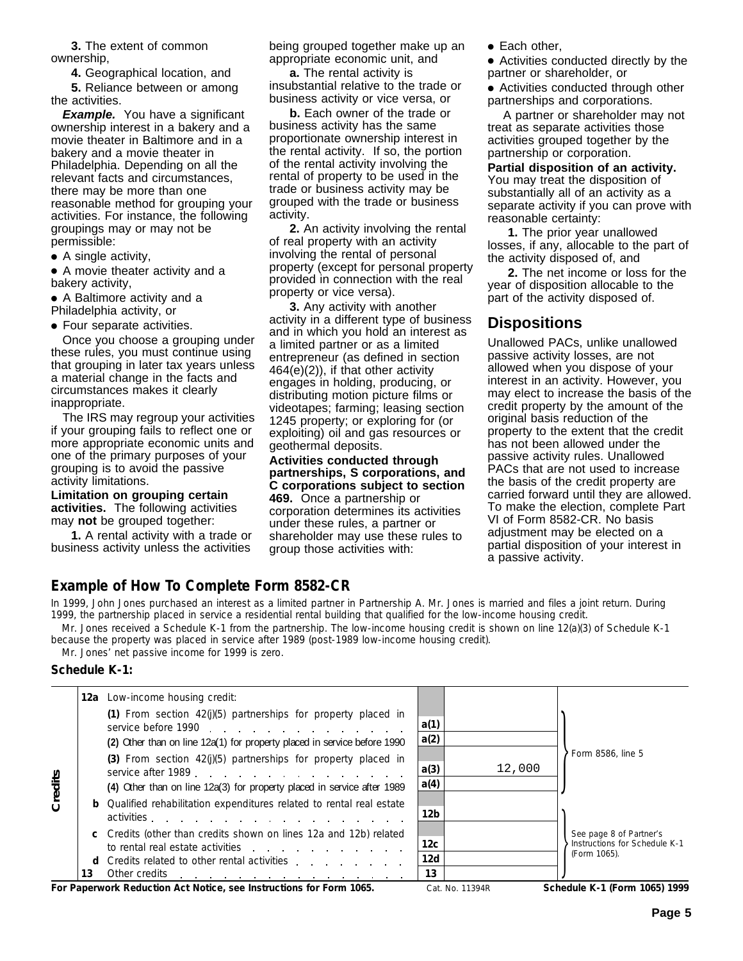**3.** The extent of common ownership,

**4.** Geographical location, and

**5.** Reliance between or among the activities.

**Example.** You have a significant ownership interest in a bakery and a movie theater in Baltimore and in a bakery and a movie theater in Philadelphia. Depending on all the relevant facts and circumstances, there may be more than one reasonable method for grouping your activities. For instance, the following groupings may or may not be permissible:

● A single activity,

● A movie theater activity and a bakery activity,

● A Baltimore activity and a Philadelphia activity, or

● Four separate activities.

Once you choose a grouping under these rules, you must continue using that grouping in later tax years unless a material change in the facts and circumstances makes it clearly inappropriate.

The IRS may regroup your activities if your grouping fails to reflect one or more appropriate economic units and one of the primary purposes of your grouping is to avoid the passive activity limitations.

**Limitation on grouping certain activities.** The following activities may **not** be grouped together:

**1.** A rental activity with a trade or business activity unless the activities being grouped together make up an appropriate economic unit, and

**a.** The rental activity is insubstantial relative to the trade or business activity or vice versa, or

**b.** Each owner of the trade or business activity has the same proportionate ownership interest in the rental activity. If so, the portion of the rental activity involving the rental of property to be used in the trade or business activity may be grouped with the trade or business activity.

**2.** An activity involving the rental of real property with an activity involving the rental of personal property (except for personal property provided in connection with the real property or vice versa).

**3.** Any activity with another activity in a different type of business and in which you hold an interest as a limited partner or as a limited entrepreneur (as defined in section 464(e)(2)), if that other activity engages in holding, producing, or distributing motion picture films or videotapes; farming; leasing section 1245 property; or exploring for (or exploiting) oil and gas resources or geothermal deposits.

**Activities conducted through partnerships, S corporations, and C corporations subject to section 469.** Once a partnership or

corporation determines its activities under these rules, a partner or shareholder may use these rules to group those activities with:

● Each other,

● Activities conducted directly by the partner or shareholder, or

● Activities conducted through other partnerships and corporations.

 A partner or shareholder may not treat as separate activities those activities grouped together by the partnership or corporation.

**Partial disposition of an activity.** You may treat the disposition of substantially all of an activity as a separate activity if you can prove with reasonable certainty:

**1.** The prior year unallowed losses, if any, allocable to the part of the activity disposed of, and

**2.** The net income or loss for the year of disposition allocable to the part of the activity disposed of.

# **Dispositions**

Unallowed PACs, unlike unallowed passive activity losses, are not allowed when you dispose of your interest in an activity. However, you may elect to increase the basis of the credit property by the amount of the original basis reduction of the property to the extent that the credit has not been allowed under the passive activity rules. Unallowed PACs that are not used to increase the basis of the credit property are carried forward until they are allowed. To make the election, complete Part VI of Form 8582-CR. No basis adjustment may be elected on a partial disposition of your interest in a passive activity.

# **Example of How To Complete Form 8582-CR**

Mr. Jones received a Schedule K-1 from the partnership. The low-income housing credit is shown on line 12(a)(3) of Schedule K-1 In 1999, John Jones purchased an interest as a limited partner in Partnership A. Mr. Jones is married and files a joint return. During 1999, the partnership placed in service a residential rental building that qualified for the low-income housing credit.

because the property was placed in service after 1989 (post-1989 low-income housing credit).

Mr. Jones' net passive income for 1999 is zero.

#### **Schedule K-1:**

|         |    | <b>12a</b> Low-income housing credit:                                                                                                                                                                                                                                                               |                 |        |                                                          |
|---------|----|-----------------------------------------------------------------------------------------------------------------------------------------------------------------------------------------------------------------------------------------------------------------------------------------------------|-----------------|--------|----------------------------------------------------------|
|         |    | (1) From section $42(j)(5)$ partnerships for property placed in<br>service before 1990                                                                                                                                                                                                              | a(1)            |        |                                                          |
|         |    | (2) Other than on line 12a(1) for property placed in service before 1990                                                                                                                                                                                                                            | a(2)            |        |                                                          |
|         |    | (3) From section $42(j)(5)$ partnerships for property placed in<br>service after 1989.                                                                                                                                                                                                              | a(3)            | 12,000 | Form 8586, line 5                                        |
| Credits |    | (4) Other than on line 12a(3) for property placed in service after 1989                                                                                                                                                                                                                             | a(4)            |        |                                                          |
|         |    | <b>b</b> Qualified rehabilitation expenditures related to rental real estate<br>activities.                                                                                                                                                                                                         | 12 <sub>b</sub> |        |                                                          |
|         |    | c Credits (other than credits shown on lines 12a and 12b) related<br>to rental real estate activities expansion of the state of the state of the state of the state of the state of the state of the state of the state of the state of the state of the state of the state of the state of the sta | 12 <sub>c</sub> |        | See page 8 of Partner's<br>Instructions for Schedule K-1 |
|         | d. | Credits related to other rental activities expansion of the control of the credits related to other rental activities                                                                                                                                                                               | 12d             |        | (Form 1065).                                             |
|         | 13 | Other credits                                                                                                                                                                                                                                                                                       | 13              |        |                                                          |

For Paperwork Reduction Act Notice, see Instructions for Form 1065. Cat. No. 11394R Schedule K-1 (Form 1065) 1999

Cat. No. 11394R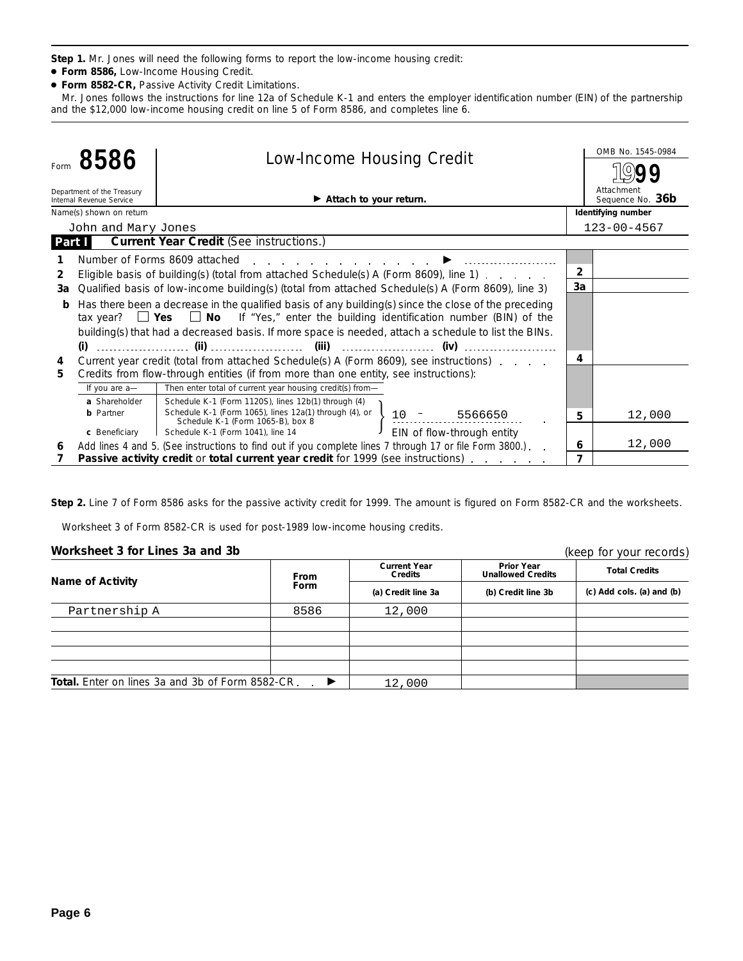**Step 1.** Mr. Jones will need the following forms to report the low-income housing credit:

- **Form 8586,** Low-Income Housing Credit.
- **Form 8582-CR,** Passive Activity Credit Limitations.

Mr. Jones follows the instructions for line 12a of Schedule K-1 and enters the employer identification number (EIN) of the partnership and the \$12,000 low-income housing credit on line 5 of Form 8586, and completes line 6.

|        |                                                                                                    |                                                                                                                                                                                            |                                |                | OMB No. 1545-0984  |  |  |  |
|--------|----------------------------------------------------------------------------------------------------|--------------------------------------------------------------------------------------------------------------------------------------------------------------------------------------------|--------------------------------|----------------|--------------------|--|--|--|
| Form   | 8586                                                                                               | <b>Low-Income Housing Credit</b>                                                                                                                                                           |                                |                |                    |  |  |  |
|        | Department of the Treasury<br>Internal Revenue Service                                             |                                                                                                                                                                                            | Attachment<br>Sequence No. 36b |                |                    |  |  |  |
|        | Name(s) shown on return                                                                            |                                                                                                                                                                                            |                                |                | Identifying number |  |  |  |
|        | John and Mary Jones                                                                                |                                                                                                                                                                                            |                                |                | $123 - 00 - 4567$  |  |  |  |
| Part I |                                                                                                    | <b>Current Year Credit (See instructions.)</b>                                                                                                                                             |                                |                |                    |  |  |  |
|        |                                                                                                    | Number of Forms 8609 attached                                                                                                                                                              |                                |                |                    |  |  |  |
| 2      |                                                                                                    | Eligible basis of building(s) (total from attached Schedule(s) A (Form 8609), line 1)                                                                                                      |                                | $\overline{2}$ |                    |  |  |  |
| За     |                                                                                                    | Qualified basis of low-income building(s) (total from attached Schedule(s) A (Form 8609), line 3)                                                                                          |                                | 3a             |                    |  |  |  |
| b      |                                                                                                    | Has there been a decrease in the qualified basis of any building(s) since the close of the preceding                                                                                       |                                |                |                    |  |  |  |
|        |                                                                                                    | tax year? $\Box$ Yes $\Box$ No If "Yes," enter the building identification number (BIN) of the                                                                                             |                                |                |                    |  |  |  |
|        |                                                                                                    | building(s) that had a decreased basis. If more space is needed, attach a schedule to list the BINs.                                                                                       |                                |                |                    |  |  |  |
|        |                                                                                                    |                                                                                                                                                                                            |                                |                |                    |  |  |  |
| 4      |                                                                                                    | Current year credit (total from attached Schedule(s) A (Form 8609), see instructions)                                                                                                      |                                | 4              |                    |  |  |  |
| 5      |                                                                                                    | Credits from flow-through entities (if from more than one entity, see instructions):                                                                                                       |                                |                |                    |  |  |  |
|        | If you are a-                                                                                      | Then enter total of current year housing credit(s) from-                                                                                                                                   |                                |                |                    |  |  |  |
|        | a Shareholder                                                                                      | Schedule K-1 (Form 1120S), lines 12b(1) through (4)                                                                                                                                        |                                |                |                    |  |  |  |
|        | <b>b</b> Partner                                                                                   | Schedule K-1 (Form 1065), lines 12a(1) through (4), or $\left\{\n\begin{array}{ccc}\n1.0 & - & .5566650 \\ 1.0 & - & .5566650\n\end{array}\n\right\}$<br>Schedule K-1 (Form 1065-B), box 8 |                                | 5              | 12,000             |  |  |  |
|        | c Beneficiary                                                                                      | EIN of flow-through entity<br>Schedule K-1 (Form 1041), line 14                                                                                                                            |                                |                |                    |  |  |  |
| 6      |                                                                                                    | Add lines 4 and 5. (See instructions to find out if you complete lines 7 through 17 or file Form 3800.).                                                                                   |                                | 6              | 12,000             |  |  |  |
|        | Passive activity credit or total current year credit for 1999 (see instructions)<br>$\overline{7}$ |                                                                                                                                                                                            |                                |                |                    |  |  |  |

**Step 2.** Line 7 of Form 8586 asks for the passive activity credit for 1999. The amount is figured on Form 8582-CR and the worksheets.

Worksheet 3 of Form 8582-CR is used for post-1989 low-income housing credits.

### **Worksheet 3 for Lines 3a and 3b**

| Worksheet 3 for Lines 3a and 3b                              |                                                                             |        |                                               | (keep for your records)                                 |  |
|--------------------------------------------------------------|-----------------------------------------------------------------------------|--------|-----------------------------------------------|---------------------------------------------------------|--|
| Name of Activity                                             | <b>Current Year</b><br><b>Credits</b><br>From<br>Form<br>(a) Credit line 3a |        | <b>Prior Year</b><br><b>Unallowed Credits</b> | <b>Total Credits</b><br>$(c)$ Add cols. $(a)$ and $(b)$ |  |
|                                                              |                                                                             |        | (b) Credit line 3b                            |                                                         |  |
| Partnership A                                                | 8586                                                                        | 12,000 |                                               |                                                         |  |
|                                                              |                                                                             |        |                                               |                                                         |  |
|                                                              |                                                                             |        |                                               |                                                         |  |
|                                                              |                                                                             |        |                                               |                                                         |  |
|                                                              |                                                                             |        |                                               |                                                         |  |
| <b>Total.</b> Enter on lines 3a and 3b of Form 8582-CR.<br>▸ |                                                                             | 12,000 |                                               |                                                         |  |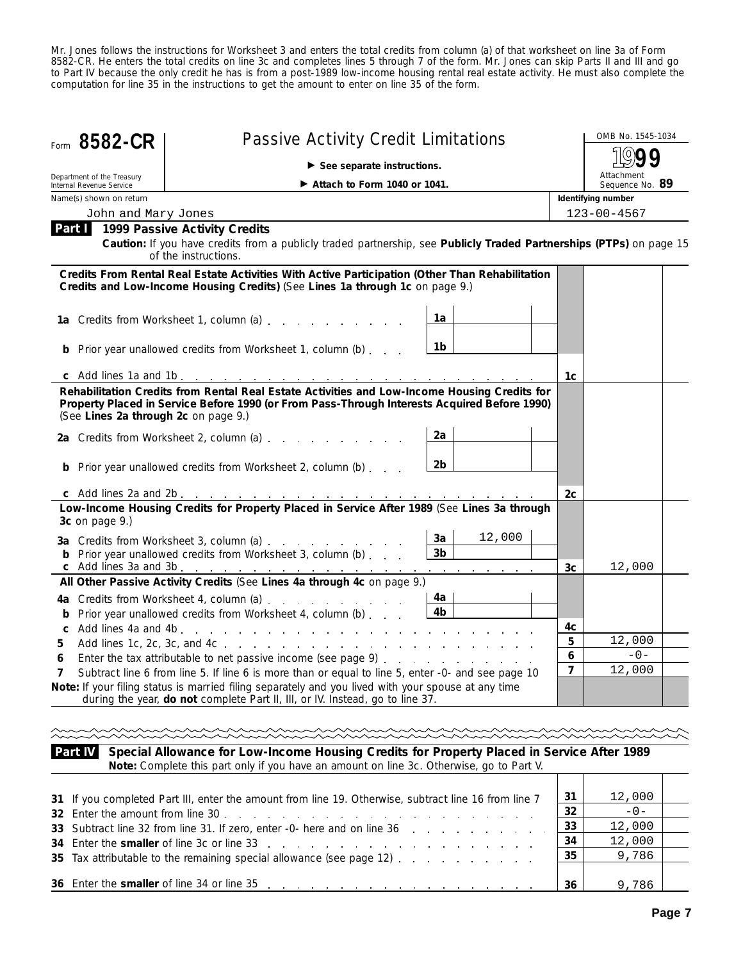Mr. Jones follows the instructions for Worksheet 3 and enters the total credits from column (a) of that worksheet on line 3a of Form 8582-CR. He enters the total credits on line 3c and completes lines 5 through 7 of the form. Mr. Jones can skip Parts II and III and go to Part IV because the only credit he has is from a post-1989 low-income housing rental real estate activity. He must also complete the computation for line 35 in the instructions to get the amount to enter on line 35 of the form.

| Form 8582-CR                                           |                                                                                                                                                                                              | OMB No. 1545-1034                |                   |                               |  |  |  |  |  |  |
|--------------------------------------------------------|----------------------------------------------------------------------------------------------------------------------------------------------------------------------------------------------|----------------------------------|-------------------|-------------------------------|--|--|--|--|--|--|
|                                                        | $\triangleright$ See separate instructions.                                                                                                                                                  |                                  |                   |                               |  |  |  |  |  |  |
| Department of the Treasury<br>Internal Revenue Service | Attach to Form 1040 or 1041.                                                                                                                                                                 |                                  |                   | Attachment<br>Sequence No. 89 |  |  |  |  |  |  |
| Name(s) shown on return                                |                                                                                                                                                                                              |                                  |                   | Identifying number            |  |  |  |  |  |  |
| John and Mary Jones                                    |                                                                                                                                                                                              |                                  | $123 - 00 - 4567$ |                               |  |  |  |  |  |  |
| Part I                                                 | 1999 Passive Activity Credits<br>Caution: If you have credits from a publicly traded partnership, see Publicly Traded Partnerships (PTPs) on page 15<br>of the instructions.                 |                                  |                   |                               |  |  |  |  |  |  |
|                                                        | Credits From Rental Real Estate Activities With Active Participation (Other Than Rehabilitation<br>Credits and Low-Income Housing Credits) (See Lines 1a through 1c on page 9.)              |                                  |                   |                               |  |  |  |  |  |  |
|                                                        | 1a Credits from Worksheet 1, column (a)                                                                                                                                                      | 1a                               |                   |                               |  |  |  |  |  |  |
|                                                        | <b>b</b> Prior year unallowed credits from Worksheet 1, column (b)                                                                                                                           | 1b                               |                   |                               |  |  |  |  |  |  |
|                                                        |                                                                                                                                                                                              |                                  | 1c                |                               |  |  |  |  |  |  |
| (See Lines 2a through 2c on page 9.)                   | Rehabilitation Credits from Rental Real Estate Activities and Low-Income Housing Credits for<br>Property Placed in Service Before 1990 (or From Pass-Through Interests Acquired Before 1990) |                                  |                   |                               |  |  |  |  |  |  |
|                                                        | 2a Credits from Worksheet 2, column (a) [11] Credits from Worksheet 2, column (a)                                                                                                            | 2a                               |                   |                               |  |  |  |  |  |  |
|                                                        | <b>b</b> Prior year unallowed credits from Worksheet 2, column (b)                                                                                                                           | 2b                               |                   |                               |  |  |  |  |  |  |
|                                                        |                                                                                                                                                                                              |                                  | 2c                |                               |  |  |  |  |  |  |
| 3c on page 9.)                                         | Low-Income Housing Credits for Property Placed in Service After 1989 (See Lines 3a through                                                                                                   |                                  |                   |                               |  |  |  |  |  |  |
|                                                        | 3a Credits from Worksheet 3, column (a)<br><b>b</b> Prior year unallowed credits from Worksheet 3, column (b)                                                                                | 12,000<br>3a<br>3 <sub>b</sub>   |                   |                               |  |  |  |  |  |  |
|                                                        | c Add lines 3a and 3b. <u>.</u>                                                                                                                                                              | and a straightful control of the | 3c                | 12,000                        |  |  |  |  |  |  |
|                                                        | All Other Passive Activity Credits (See Lines 4a through 4c on page 9.)<br>4a Credits from Worksheet 4, column (a)<br><b>b</b> Prior year unallowed credits from Worksheet 4, column (b)     | 4a -<br>4b                       |                   |                               |  |  |  |  |  |  |
| C                                                      |                                                                                                                                                                                              |                                  | 4c                |                               |  |  |  |  |  |  |
| 5                                                      |                                                                                                                                                                                              |                                  | 5                 | 12,000                        |  |  |  |  |  |  |
| 6                                                      | Enter the tax attributable to net passive income (see page 9)                                                                                                                                |                                  | 6                 | $-0-$                         |  |  |  |  |  |  |
| 7                                                      | Subtract line 6 from line 5. If line 6 is more than or equal to line 5, enter -0- and see page 10                                                                                            |                                  | $\overline{7}$    | 12,000                        |  |  |  |  |  |  |
|                                                        | Note: If your filing status is married filing separately and you lived with your spouse at any time<br>during the year, do not complete Part II, III, or IV. Instead, go to line 37.         |                                  |                   |                               |  |  |  |  |  |  |
|                                                        |                                                                                                                                                                                              |                                  |                   |                               |  |  |  |  |  |  |

**Special Allowance for Low-Income Housing Credits for Property Placed in Service After 1989 Part IV Note:** *Complete this part only if you have an amount on line 3c. Otherwise, go to Part V.*

| 31 If you completed Part III, enter the amount from line 19. Otherwise, subtract line 16 from line 7 | 31 | 12,000 |  |
|------------------------------------------------------------------------------------------------------|----|--------|--|
|                                                                                                      | 32 | $-0-$  |  |
| 33 Subtract line 32 from line 31. If zero, enter -0- here and on line 36                             | 33 | 12,000 |  |
| 34 Enter the smaller of line 3c or line 33 and the set of the set of the set of the smaller          | 34 | 12,000 |  |
| 35 Tax attributable to the remaining special allowance (see page 12)                                 | 35 | 9,786  |  |
|                                                                                                      |    |        |  |
| 36 Enter the smaller of line 34 or line 35 and the state of the smaller of line 34 or line 35        | 36 | 9.786  |  |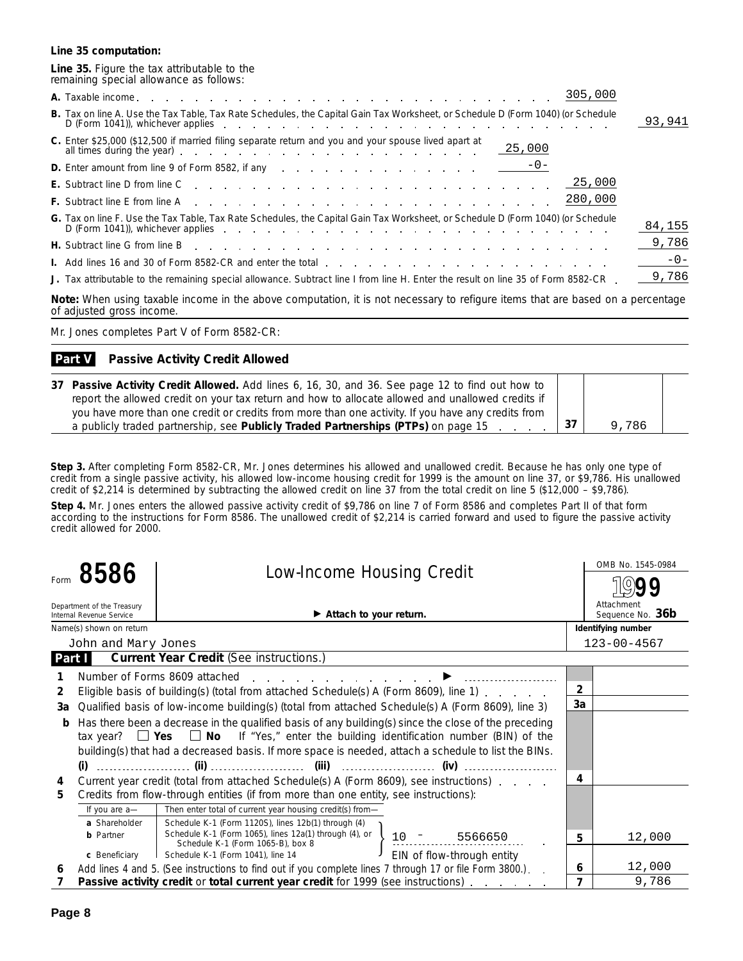#### **Line 35 computation:**

#### **Line 35.** Figure the tax attributable to the remaining special allowance as follows:

| B. Tax on line A. Use the Tax Table, Tax Rate Schedules, the Capital Gain Tax Worksheet, or Schedule D (Form 1040) (or Schedule<br>D (Form 1041)), whichever applies experience and the contract of the contract of the contract of the contract of the contract of the contract of the contract of the contract of the contract of the contract of the contract | 93,941 |
|------------------------------------------------------------------------------------------------------------------------------------------------------------------------------------------------------------------------------------------------------------------------------------------------------------------------------------------------------------------|--------|
| C. Enter \$25,000 (\$12,500 if married filing separate return and you and your spouse lived apart at                                                                                                                                                                                                                                                             |        |
| <b>D.</b> Enter amount from line 9 of Form 8582, if any $\therefore$ $\therefore$ $\therefore$ $\therefore$ $\therefore$ $\therefore$ $\therefore$ $\therefore$ $\therefore$ $\frac{\cdot -0}{\cdot}$                                                                                                                                                            |        |
|                                                                                                                                                                                                                                                                                                                                                                  |        |
| F. Subtract line E from line A reader and a reader and a reader and a reader and a reader and a reader and a reader of the E from line A reader and a reader and a reader of the Subscription of the Subscription of the Subsc                                                                                                                                   |        |
| G. Tax on line F. Use the Tax Table, Tax Rate Schedules, the Capital Gain Tax Worksheet, or Schedule D (Form 1040) (or Schedule<br>D (Form 1041)), whichever applies experience and the contract of the contract of the contract of the contract of the contract of the contract of the contract of the contract of the contract of the contract of the contract | 84,155 |
| H. Subtract line G from line B enterprise to the content of the content of the content of the content of the content of the content of the content of the content of the content of the content of the content of the content                                                                                                                                    | 9,786  |
| I. Add lines 16 and 30 of Form 8582-CR and enter the total enterstand contact and contact and contact and contact and contact and contact and contact and contact and contact and contact and contact and contact and contact                                                                                                                                    | $-0-$  |
| J. Tax attributable to the remaining special allowance. Subtract line I from line H. Enter the result on line 35 of Form 8582-CR.                                                                                                                                                                                                                                | 9,786  |

**Note:** *When using taxable income in the above computation, it is not necessary to refigure items that are based on a percentage of adjusted gross income.*

Mr. Jones completes Part V of Form 8582-CR:

#### **Passive Activity Credit Allowed Part V**

| 37 Passive Activity Credit Allowed. Add lines 6, 16, 30, and 36. See page 12 to find out how to                  |      |       |  |
|------------------------------------------------------------------------------------------------------------------|------|-------|--|
| report the allowed credit on your tax return and how to allocate allowed and unallowed credits if                |      |       |  |
| you have more than one credit or credits from more than one activity. If you have any credits from               |      |       |  |
| a publicly traded partnership, see Publicly Traded Partnerships (PTPs) on page 15<br>$\sim$ $\sim$ $\sim$ $\sim$ | . 37 | 9,786 |  |

**Step 3.** After completing Form 8582-CR, Mr. Jones determines his allowed and unallowed credit. Because he has only one type of credit from a single passive activity, his allowed low-income housing credit for 1999 is the amount on line 37, or \$9,786. His unallowed credit of \$2,214 is determined by subtracting the allowed credit on line 37 from the total credit on line 5 (\$12,000 – \$9,786).

**Step 4.** Mr. Jones enters the allowed passive activity credit of \$9,786 on line 7 of Form 8586 and completes Part II of that form according to the instructions for Form 8586. The unallowed credit of \$2,214 is carried forward and used to figure the passive activity credit allowed for 2000.

|                |                                                        | <b>Low-Income Housing Credit</b>                                                                                                                 |                                | OMB No. 1545-0984  |
|----------------|--------------------------------------------------------|--------------------------------------------------------------------------------------------------------------------------------------------------|--------------------------------|--------------------|
|                | 8586                                                   |                                                                                                                                                  |                                |                    |
|                | Department of the Treasury<br>Internal Revenue Service |                                                                                                                                                  | Attachment<br>Sequence No. 36b |                    |
|                | Name(s) shown on return                                |                                                                                                                                                  |                                | Identifying number |
|                | John and Mary Jones                                    |                                                                                                                                                  |                                | $123 - 00 - 4567$  |
| Part I         |                                                        | <b>Current Year Credit (See instructions.)</b>                                                                                                   |                                |                    |
|                |                                                        | Number of Forms 8609 attached                                                                                                                    |                                |                    |
| $\overline{2}$ |                                                        | Eligible basis of building(s) (total from attached Schedule(s) A (Form 8609), line 1)                                                            | $\overline{2}$                 |                    |
| За             |                                                        | Qualified basis of low-income building(s) (total from attached Schedule(s) A (Form 8609), line 3)                                                | 3a                             |                    |
| b              |                                                        | Has there been a decrease in the qualified basis of any building(s) since the close of the preceding                                             |                                |                    |
|                |                                                        | tax year? $\Box$ Yes $\Box$ No If "Yes," enter the building identification number (BIN) of the                                                   |                                |                    |
|                |                                                        | building(s) that had a decreased basis. If more space is needed, attach a schedule to list the BINs.                                             |                                |                    |
|                |                                                        |                                                                                                                                                  |                                |                    |
| 4              |                                                        | Current year credit (total from attached Schedule(s) A (Form 8609), see instructions).                                                           | 4                              |                    |
| 5              |                                                        | Credits from flow-through entities (if from more than one entity, see instructions):                                                             |                                |                    |
|                | If you are a-                                          |                                                                                                                                                  |                                |                    |
|                | a Shareholder                                          | Schedule K-1 (Form 1120S), lines 12b(1) through (4)                                                                                              |                                |                    |
|                | <b>b</b> Partner                                       | Schedule K-1 (Form 1065), lines 12a(1) through (4), or $\left\{\n\begin{array}{ccc}\n10 & - & 5566650 \\ 1 & - & 5566650\n\end{array}\n\right\}$ | 5.                             | 12,000             |
|                | c Beneficiary                                          | EIN of flow-through entity<br>Schedule K-1 (Form 1041), line 14                                                                                  |                                |                    |
| 6              |                                                        | Add lines 4 and 5. (See instructions to find out if you complete lines 7 through 17 or file Form 3800.).                                         | 6                              | 12,000             |
|                |                                                        | Passive activity credit or total current year credit for 1999 (see instructions)                                                                 | 7                              | 9,786              |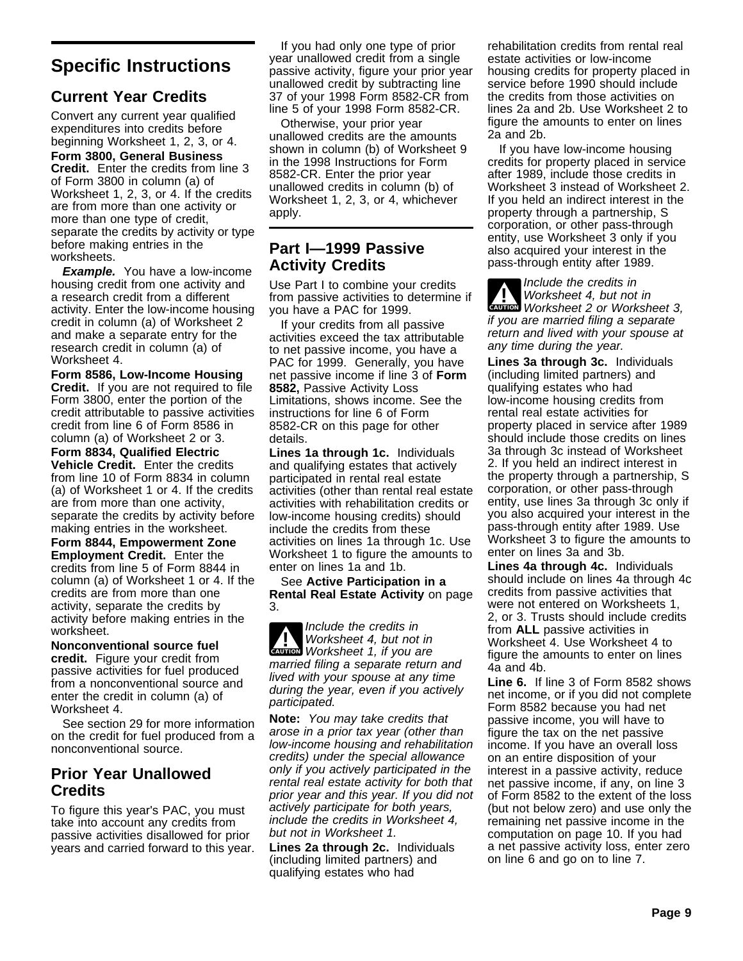# **Specific Instructions**

# **Current Year Credits**

Convert any current year qualified expenditures into credits before beginning Worksheet 1, 2, 3, or 4.

**Form 3800, General Business Credit.** Enter the credits from line 3 of Form 3800 in column (a) of Worksheet 1, 2, 3, or 4. If the credits are from more than one activity or more than one type of credit, separate the credits by activity or type before making entries in the worksheets.

**Example.** You have a low-income housing credit from one activity and a research credit from a different activity. Enter the low-income housing credit in column (a) of Worksheet 2 and make a separate entry for the research credit in column (a) of Worksheet 4.

**Form 8586, Low-Income Housing Credit.** If you are not required to file Form 3800, enter the portion of the credit attributable to passive activities credit from line 6 of Form 8586 in column (a) of Worksheet 2 or 3.

**Form 8834, Qualified Electric Vehicle Credit.** Enter the credits from line 10 of Form 8834 in column (a) of Worksheet 1 or 4. If the credits are from more than one activity, separate the credits by activity before making entries in the worksheet.

**Form 8844, Empowerment Zone Employment Credit.** Enter the credits from line 5 of Form 8844 in column (a) of Worksheet 1 or 4. If the credits are from more than one activity, separate the credits by activity before making entries in the worksheet.

**Nonconventional source fuel credit.** Figure your credit from passive activities for fuel produced from a nonconventional source and enter the credit in column (a) of Worksheet 4.

See section 29 for more information on the credit for fuel produced from a nonconventional source.

# **Prior Year Unallowed Credits**

To figure this year's PAC, you must take into account any credits from passive activities disallowed for prior years and carried forward to this year.

If you had only one type of prior year unallowed credit from a single passive activity, figure your prior year unallowed credit by subtracting line 37 of your 1998 Form 8582-CR from line 5 of your 1998 Form 8582-CR.

Otherwise, your prior year unallowed credits are the amounts shown in column (b) of Worksheet 9 in the 1998 Instructions for Form 8582-CR. Enter the prior year unallowed credits in column (b) of Worksheet 1, 2, 3, or 4, whichever apply.

# **Part I—1999 Passive Activity Credits**

Use Part I to combine your credits from passive activities to determine if you have a PAC for 1999.

If your credits from all passive activities exceed the tax attributable to net passive income, you have a PAC for 1999. Generally, you have net passive income if line 3 of **Form 8582,** Passive Activity Loss Limitations, shows income. See the instructions for line 6 of Form 8582-CR on this page for other details.

**Lines 1a through 1c.** Individuals and qualifying estates that actively participated in rental real estate activities (other than rental real estate activities with rehabilitation credits or low-income housing credits) should include the credits from these activities on lines 1a through 1c. Use Worksheet 1 to figure the amounts to enter on lines 1a and 1b.

See **Active Participation in a Rental Real Estate Activity** on page 3.

**CAUTION** Worksheet 1, if you are **!** Include the credits in Worksheet 4, but not in married filing a separate return and lived with your spouse at any time during the year, even if you actively participated.

**Note:** You may take credits that arose in a prior tax year (other than low-income housing and rehabilitation credits) under the special allowance only if you actively participated in the rental real estate activity for both that prior year and this year. If you did not actively participate for both years, include the credits in Worksheet 4, but not in Worksheet 1.

**Lines 2a through 2c.** Individuals (including limited partners) and qualifying estates who had

rehabilitation credits from rental real estate activities or low-income housing credits for property placed in service before 1990 should include the credits from those activities on lines 2a and 2b. Use Worksheet 2 to figure the amounts to enter on lines 2a and 2b.

If you have low-income housing credits for property placed in service after 1989, include those credits in Worksheet 3 instead of Worksheet 2. If you held an indirect interest in the property through a partnership, S corporation, or other pass-through entity, use Worksheet 3 only if you also acquired your interest in the pass-through entity after 1989.

**Worksheet 4, but not in**<br> **Worksheet 2 or Worksheet 3,** Include the credits in Worksheet 4, but not in if you are married filing a separate return and lived with your spouse at any time during the year.

**Lines 3a through 3c.** Individuals (including limited partners) and qualifying estates who had low-income housing credits from rental real estate activities for property placed in service after 1989 should include those credits on lines 3a through 3c instead of Worksheet 2. If you held an indirect interest in the property through a partnership, S corporation, or other pass-through entity, use lines 3a through 3c only if you also acquired your interest in the pass-through entity after 1989. Use Worksheet 3 to figure the amounts to enter on lines 3a and 3b.

**Lines 4a through 4c.** Individuals should include on lines 4a through 4c credits from passive activities that were not entered on Worksheets 1, 2, or 3. Trusts should include credits from **ALL** passive activities in Worksheet 4. Use Worksheet 4 to figure the amounts to enter on lines 4a and 4b.

**Line 6.** If line 3 of Form 8582 shows net income, or if you did not complete Form 8582 because you had net passive income, you will have to figure the tax on the net passive income. If you have an overall loss on an entire disposition of your interest in a passive activity, reduce net passive income, if any, on line 3 of Form 8582 to the extent of the loss (but not below zero) and use only the remaining net passive income in the computation on page 10. If you had a net passive activity loss, enter zero on line 6 and go on to line 7.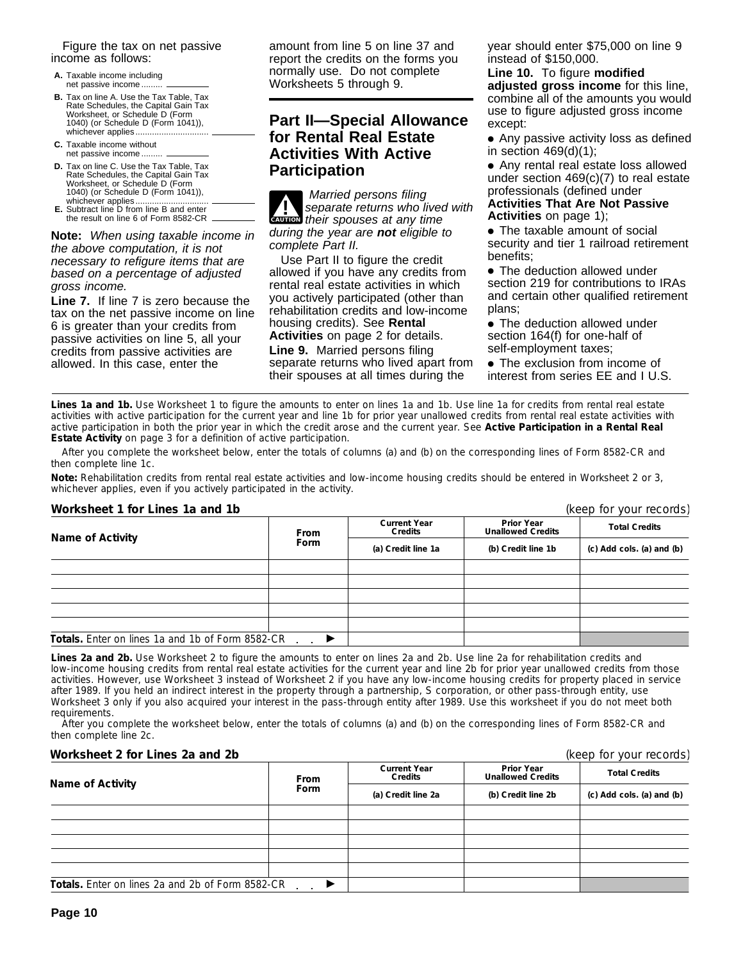Figure the tax on net passive income as follows:

- **A.** Taxable income including net passive income...
- **B.** Tax on line A. Use the Tax Table, Tax Rate Schedules, the Capital Gain Tax Worksheet, or Schedule D (Form 1040) (or Schedule D (Form 1041)), whichever applies...
- **C.** Taxable income without net passive income .........
- **D.** Tax on line C. Use the Tax Table, Tax Rate Schedules, the Capital Gain Tax Worksheet, or Schedule D (Form 1040) (or Schedule D (Form 1041)),
- whichever applies............................... **E.** Subtract line D from line B and enter the result on line 6 of Form 8582-CR

**Note:** When using taxable income in the above computation, it is not necessary to refigure items that are based on a percentage of adjusted gross income.

**Line 7.** If line 7 is zero because the tax on the net passive income on line 6 is greater than your credits from passive activities on line 5, all your credits from passive activities are allowed. In this case, enter the

amount from line 5 on line 37 and report the credits on the forms you normally use. Do not complete Worksheets 5 through 9.

# **Part II—Special Allowance for Rental Real Estate Activities With Active Participation**

**CAUTION** their spouses at any time **1** Married persons filing<br>separate returns who lived with during the year are **not** eligible to complete Part II.

Use Part II to figure the credit allowed if you have any credits from rental real estate activities in which you actively participated (other than rehabilitation credits and low-income housing credits). See **Rental Activities** on page 2 for details. **Line 9.** Married persons filing separate returns who lived apart from their spouses at all times during the

year should enter \$75,000 on line 9 instead of \$150,000.

**Line 10.** To figure **modified adjusted gross income** for this line, combine all of the amounts you would use to figure adjusted gross income except:

● Any passive activity loss as defined in section  $469(d)(1)$ ;

● Any rental real estate loss allowed under section 469(c)(7) to real estate professionals (defined under **Activities That Are Not Passive Activities** on page 1);

• The taxable amount of social security and tier 1 railroad retirement benefits;

● The deduction allowed under section 219 for contributions to IRAs and certain other qualified retirement plans;

• The deduction allowed under section 164(f) for one-half of self-employment taxes;

• The exclusion from income of interest from series EE and I U.S.

Lines 1a and 1b. Use Worksheet 1 to figure the amounts to enter on lines 1a and 1b. Use line 1a for credits from rental real estate activities with active participation for the current year and line 1b for prior year unallowed credits from rental real estate activities with active participation in both the prior year in which the credit arose and the current year. See **Active Participation in a Rental Real Estate Activity** on page 3 for a definition of active participation.

After you complete the worksheet below, enter the totals of columns (a) and (b) on the corresponding lines of Form 8582-CR and then complete line 1c.

**Note:** *Rehabilitation credits from rental real estate activities and low-income housing credits should be entered in Worksheet 2 or 3, whichever applies, even if you actively participated in the activity.*

**Worksheet 1 for Lines 1a and 1b** (keep for your records) **Prior Year Unallowed Credits Current Year Collectivity Collection Credits Credits Credits Credit Credit Credit Line 1a Credit Indianal Credit Scredit Scredit Scredit Scredit Scredit Scredit Scredit Scredit Scredit Scredit Inc. and (b) Credit line 1b (c)** Totals. Enter on lines 1a and 1b of Form 8582-CR **→** 

**Lines 2a and 2b.** Use Worksheet 2 to figure the amounts to enter on lines 2a and 2b. Use line 2a for rehabilitation credits and low-income housing credits from rental real estate activities for the current year and line 2b for prior year unallowed credits from those activities. However, use Worksheet 3 instead of Worksheet 2 if you have any low-income housing credits for property placed in service after 1989. If you held an indirect interest in the property through a partnership, S corporation, or other pass-through entity, use Worksheet 3 only if you also acquired your interest in the pass-through entity after 1989. Use this worksheet if you do not meet both requirements.

After you complete the worksheet below, enter the totals of columns (a) and (b) on the corresponding lines of Form 8582-CR and then complete line 2c.

#### **Worksheet 2 for Lines 2a and 2b** (keep for your records)

| Name of Activity                                 | <b>From</b> | <b>Current Year</b><br>Credits | <b>Prior Year</b><br><b>Unallowed Credits</b> | <b>Total Credits</b><br>(c) Add cols. (a) and (b) |  |
|--------------------------------------------------|-------------|--------------------------------|-----------------------------------------------|---------------------------------------------------|--|
|                                                  | Form        | (a) Credit line 2a             | (b) Credit line 2b                            |                                                   |  |
|                                                  |             |                                |                                               |                                                   |  |
|                                                  |             |                                |                                               |                                                   |  |
|                                                  |             |                                |                                               |                                                   |  |
|                                                  |             |                                |                                               |                                                   |  |
|                                                  |             |                                |                                               |                                                   |  |
| Totals. Enter on lines 2a and 2b of Form 8582-CR |             |                                |                                               |                                                   |  |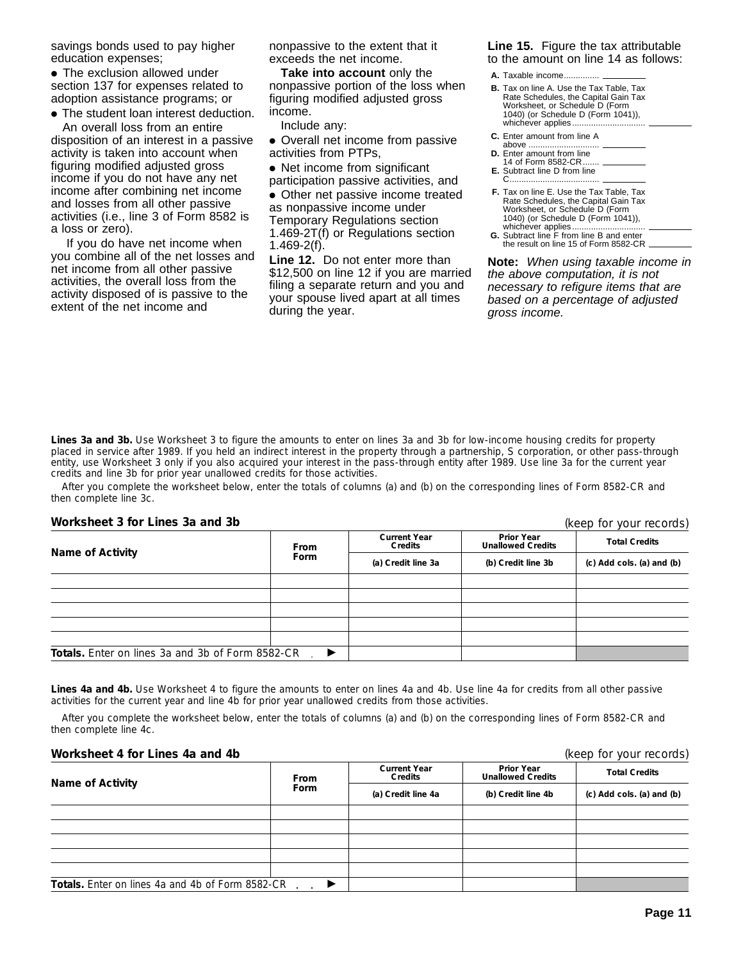savings bonds used to pay higher education expenses;

• The exclusion allowed under section 137 for expenses related to adoption assistance programs; or

● The student loan interest deduction.

An overall loss from an entire disposition of an interest in a passive activity is taken into account when figuring modified adjusted gross income if you do not have any net income after combining net income and losses from all other passive activities (i.e., line 3 of Form 8582 is a loss or zero).

 If you do have net income when you combine all of the net losses and net income from all other passive activities, the overall loss from the activity disposed of is passive to the extent of the net income and

nonpassive to the extent that it exceeds the net income.

**Take into account** only the nonpassive portion of the loss when figuring modified adjusted gross income.

Include any:

- Overall net income from passive activities from PTPs,
- Net income from significant

participation passive activities, and

● Other net passive income treated as nonpassive income under Temporary Regulations section 1.469-2T(f) or Regulations section 1.469-2(f).

**Line 12.** Do not enter more than \$12,500 on line 12 if you are married filing a separate return and you and your spouse lived apart at all times during the year.

**Line 15.** Figure the tax attributable to the amount on line 14 as follows:

- **A.** Taxable income.
- **B.** Tax on line A. Use the Tax Table, Tax Rate Schedules, the Capital Gain Tax Worksheet, or Schedule D (Form 1040) (or Schedule D (Form 1041)), whichever applies.....
- **C.** Enter amount from line A
- above ... **D.** Enter amount from line
- 14 of Form 8582-CR...
- **E.** Subtract line D from line C ......................................
- **F.** Tax on line E. Use the Tax Table, Tax Rate Schedules, the Capital Gain Tax Worksheet, or Schedule D (Form 1040) (or Schedule D (Form 1041)), whichever applies............................... **G.** Subtract line F from line B and enter
- the result on line 15 of Form 8582-CR.

**Note:** When using taxable income in the above computation, it is not necessary to refigure items that are based on a percentage of adjusted gross income.

**Lines 3a and 3b.** Use Worksheet 3 to figure the amounts to enter on lines 3a and 3b for low-income housing credits for property placed in service after 1989. If you held an indirect interest in the property through a partnership, S corporation, or other pass-through entity, use Worksheet 3 only if you also acquired your interest in the pass-through entity after 1989. Use line 3a for the current year credits and line 3b for prior year unallowed credits for those activities.

After you complete the worksheet below, enter the totals of columns (a) and (b) on the corresponding lines of Form 8582-CR and then complete line 3c.

#### **Worksheet 3 for Lines 3a and 3b**

(keep for your records)

| Name of Activity                                  | From                       | <b>Current Year</b><br>Credits | <b>Prior Year</b><br><b>Unallowed Credits</b> | <b>Total Credits</b>      |  |
|---------------------------------------------------|----------------------------|--------------------------------|-----------------------------------------------|---------------------------|--|
|                                                   | Form<br>(a) Credit line 3a |                                | (b) Credit line 3b                            | (c) Add cols. (a) and (b) |  |
|                                                   |                            |                                |                                               |                           |  |
|                                                   |                            |                                |                                               |                           |  |
|                                                   |                            |                                |                                               |                           |  |
|                                                   |                            |                                |                                               |                           |  |
|                                                   |                            |                                |                                               |                           |  |
| Totals. Enter on lines 3a and 3b of Form 8582-CR. | $\blacktriangleright$      |                                |                                               |                           |  |

**Lines 4a and 4b.** Use Worksheet 4 to figure the amounts to enter on lines 4a and 4b. Use line 4a for credits from all other passive activities for the current year and line 4b for prior year unallowed credits from those activities.

After you complete the worksheet below, enter the totals of columns (a) and (b) on the corresponding lines of Form 8582-CR and then complete line 4c.

#### **Worksheet 4 for Lines 4a and 4b** (keep for your records)

|                                                  | <b>From</b>                | <b>Current Year</b><br>Credits | <b>Prior Year</b><br><b>Unallowed Credits</b> | <b>Total Credits</b>      |  |
|--------------------------------------------------|----------------------------|--------------------------------|-----------------------------------------------|---------------------------|--|
| <b>Name of Activity</b>                          | Form<br>(a) Credit line 4a |                                | (b) Credit line 4b                            | (c) Add cols. (a) and (b) |  |
|                                                  |                            |                                |                                               |                           |  |
|                                                  |                            |                                |                                               |                           |  |
|                                                  |                            |                                |                                               |                           |  |
|                                                  |                            |                                |                                               |                           |  |
|                                                  |                            |                                |                                               |                           |  |
| Totals. Enter on lines 4a and 4b of Form 8582-CR |                            |                                |                                               |                           |  |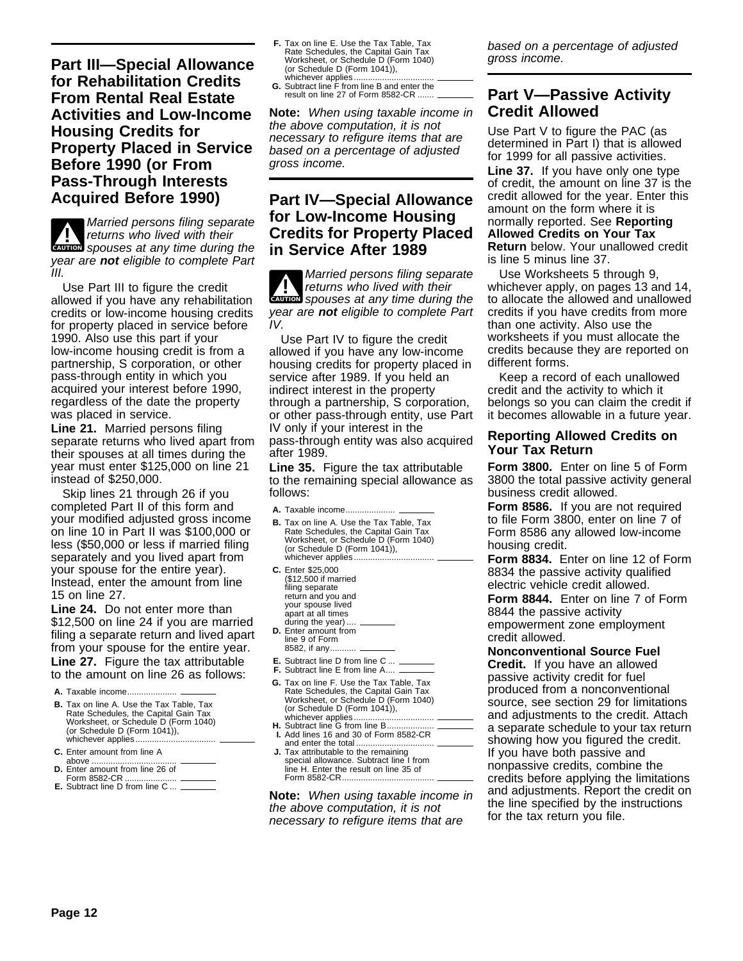**Part III—Special Allowance for Rehabilitation Credits From Rental Real Estate Activities and Low-Income Housing Credits for Property Placed in Service Before 1990 (or From Pass-Through Interests Acquired Before 1990)**

**ENTION** spouses at any time during the **!** Married persons filing separate returns who lived with their year are **not** eligible to complete Part III.

Use Part III to figure the credit allowed if you have any rehabilitation credits or low-income housing credits for property placed in service before 1990. Also use this part if your low-income housing credit is from a partnership, S corporation, or other pass-through entity in which you acquired your interest before 1990, regardless of the date the property was placed in service.

**Line 21.** Married persons filing separate returns who lived apart from their spouses at all times during the year must enter \$125,000 on line 21 instead of \$250,000.

Skip lines 21 through 26 if you completed Part II of this form and your modified adjusted gross income on line 10 in Part II was \$100,000 or less (\$50,000 or less if married filing separately and you lived apart from your spouse for the entire year). Instead, enter the amount from line 15 on line 27.

**Line 24.** Do not enter more than \$12,500 on line 24 if you are married filing a separate return and lived apart from your spouse for the entire year. **Line 27.** Figure the tax attributable to the amount on line 26 as follows:

- A. Taxable income.....
- **B.** Tax on line A. Use the Tax Table, Tax Rate Schedules, the Capital Gain Tax Worksheet, or Schedule D (Form 1040) (or Schedule D (Form 1041)), whichever applies.....
- **C.** Enter amount from line A
- above .................................... **D.** Enter amount from line 26 of
- Form 8582-CR ......................
- **E.** Subtract line D from line C ...
- **F.** Tax on line E. Use the Tax Table, Tax<br>Rate Schedules, the Capital Gain Tax<br>Worksheet, or Schedule D (Form 1040) (or Schedule D (Form 1041)),
- whichever applies.................................. **G.** Subtract line F from line B and enter the result on line 27 of Form 8582-CR ...

**Note:** When using taxable income in the above computation, it is not necessary to refigure items that are based on a percentage of adjusted gross income.

# **Part IV—Special Allowance for Low-Income Housing Credits for Property Placed in Service After 1989**

**ENTION** spouses at any time during the **!** Married persons filing separate returns who lived with their year are **not** eligible to complete Part IV.

Use Part IV to figure the credit allowed if you have any low-income housing credits for property placed in service after 1989. If you held an indirect interest in the property through a partnership, S corporation, or other pass-through entity, use Part IV only if your interest in the pass-through entity was also acquired after 1989.

**Line 35.** Figure the tax attributable to the remaining special allowance as follows:

A. Taxable income...

- **B.** Tax on line A. Use the Tax Table, Tax Rate Schedules, the Capital Gain Tax Worksheet, or Schedule D (Form 1040) (or Schedule D (Form 1041)), whichever applies...
- **C.** Enter \$25,000 (\$12,500 if married filing separate return and you and your spouse lived apart at all times during the year).
- **D.** Enter amount from line 9 of Form 8582, if any...........
- 
- **E.** Subtract line D from line C ... **F.** Subtract line E from line A....
- **G.** Tax on line F. Use the Tax Table, Tax Rate Schedules, the Capital Gain Tax Worksheet, or Schedule D (Form 1040) (or Schedule D (Form 1041)), whichever applies...
- **H.** Subtract line G from line B.................... **I.** Add lines 16 and 30 of Form 8582-CR and enter the total...
- **J.** Tax attributable to the remaining special allowance. Subtract line I from line H. Enter the result on line 35 of Form 8582-CR.....

**Note:** When using taxable income in the above computation, it is not necessary to refigure items that are

based on a percentage of adjusted gross income.

# **Part V—Passive Activity Credit Allowed**

Use Part V to figure the PAC (as determined in Part I) that is allowed for 1999 for all passive activities. **Line 37.** If you have only one type of credit, the amount on line 37 is the credit allowed for the year. Enter this amount on the form where it is normally reported. See **Reporting Allowed Credits on Your Tax Return** below. Your unallowed credit is line 5 minus line 37.

Use Worksheets 5 through 9, whichever apply, on pages 13 and 14, to allocate the allowed and unallowed credits if you have credits from more than one activity. Also use the worksheets if you must allocate the credits because they are reported on different forms.

Keep a record of each unallowed credit and the activity to which it belongs so you can claim the credit if it becomes allowable in a future year.

#### **Reporting Allowed Credits on Your Tax Return**

**Form 3800.** Enter on line 5 of Form 3800 the total passive activity general business credit allowed.

**Form 8586.** If you are not required to file Form 3800, enter on line 7 of Form 8586 any allowed low-income housing credit.

**Form 8834.** Enter on line 12 of Form 8834 the passive activity qualified electric vehicle credit allowed.

**Form 8844.** Enter on line 7 of Form 8844 the passive activity empowerment zone employment credit allowed.

**Nonconventional Source Fuel Credit.** If you have an allowed passive activity credit for fuel produced from a nonconventional source, see section 29 for limitations and adjustments to the credit. Attach a separate schedule to your tax return showing how you figured the credit. If you have both passive and nonpassive credits, combine the credits before applying the limitations and adjustments. Report the credit on the line specified by the instructions for the tax return you file.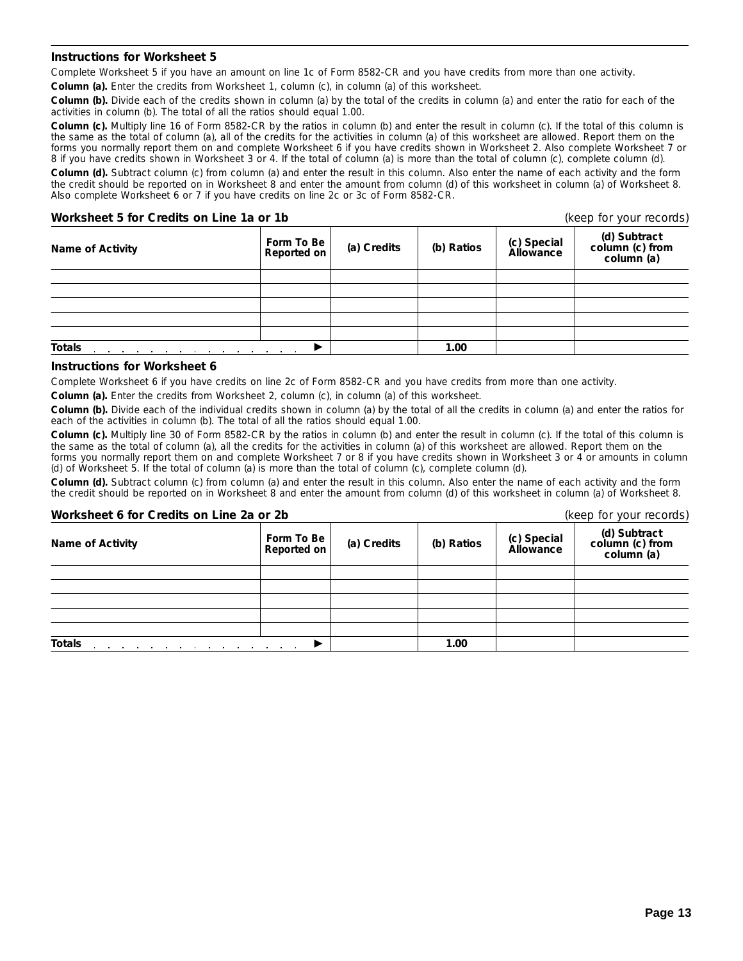#### **Instructions for Worksheet 5**

Complete Worksheet 5 if you have an amount on line 1c of Form 8582-CR and you have credits from more than one activity.

**Column (a).** Enter the credits from Worksheet 1, column (c), in column (a) of this worksheet.

**Column (b).** Divide each of the credits shown in column (a) by the total of the credits in column (a) and enter the ratio for each of the activities in column (b). The total of all the ratios should equal 1.00.

Column (c). Multiply line 16 of Form 8582-CR by the ratios in column (b) and enter the result in column (c). If the total of this column is the same as the total of column (a), all of the credits for the activities in column (a) of this worksheet are allowed. Report them on the forms you normally report them on and complete Worksheet 6 if you have credits shown in Worksheet 2. Also complete Worksheet 7 or 8 if you have credits shown in Worksheet 3 or 4. If the total of column (a) is more than the total of column (c), complete column (d). **Column (d).** Subtract column (c) from column (a) and enter the result in this column. Also enter the name of each activity and the form the credit should be reported on in Worksheet 8 and enter the amount from column (d) of this worksheet in column (a) of Worksheet 8. Also complete Worksheet 6 or 7 if you have credits on line 2c or 3c of Form 8582-CR.

#### **Worksheet 5 for Credits on Line 1a or 1b** (*keep for your records*)

| Name of Activity                                                                     | Form To Be<br>Reported on | (a) Credits | (b) Ratios | (c) Special<br>Allowance | (d) Subtract<br>column (c) from<br>column (a) |
|--------------------------------------------------------------------------------------|---------------------------|-------------|------------|--------------------------|-----------------------------------------------|
|                                                                                      |                           |             |            |                          |                                               |
|                                                                                      |                           |             |            |                          |                                               |
|                                                                                      |                           |             |            |                          |                                               |
|                                                                                      |                           |             |            |                          |                                               |
|                                                                                      |                           |             |            |                          |                                               |
| <b>Totals</b><br>and a series of the contract of the contract of the contract of the |                           | 1.00        |            |                          |                                               |

#### **Instructions for Worksheet 6**

Complete Worksheet 6 if you have credits on line 2c of Form 8582-CR and you have credits from more than one activity.

**Column (a).** Enter the credits from Worksheet 2, column (c), in column (a) of this worksheet.

**Column (b).** Divide each of the individual credits shown in column (a) by the total of all the credits in column (a) and enter the ratios for each of the activities in column (b). The total of all the ratios should equal 1.00.

**Column (c).** Multiply line 30 of Form 8582-CR by the ratios in column (b) and enter the result in column (c). If the total of this column is the same as the total of column (a), all the credits for the activities in column (a) of this worksheet are allowed. Report them on the forms you normally report them on and complete Worksheet 7 or 8 if you have credits shown in Worksheet 3 or 4 or amounts in column (d) of Worksheet 5. If the total of column (a) is more than the total of column (c), complete column (d).

**Column (d).** Subtract column (c) from column (a) and enter the result in this column. Also enter the name of each activity and the form the credit should be reported on in Worksheet 8 and enter the amount from column (d) of this worksheet in column (a) of Worksheet 8.

| Worksheet 6 for Credits on Line 2a or 2b                                         |                           |             |            |                          | (keep for your records)                       |  |  |
|----------------------------------------------------------------------------------|---------------------------|-------------|------------|--------------------------|-----------------------------------------------|--|--|
| <b>Name of Activity</b>                                                          | Form To Be<br>Reported on | (a) Credits | (b) Ratios | (c) Special<br>Allowance | (d) Subtract<br>column (c) from<br>column (a) |  |  |
|                                                                                  |                           |             |            |                          |                                               |  |  |
|                                                                                  |                           |             |            |                          |                                               |  |  |
|                                                                                  |                           |             |            |                          |                                               |  |  |
|                                                                                  |                           |             |            |                          |                                               |  |  |
|                                                                                  |                           |             |            |                          |                                               |  |  |
| <b>Totals</b><br>the contract of the contract of the contract of the contract of |                           |             | 1.00       |                          |                                               |  |  |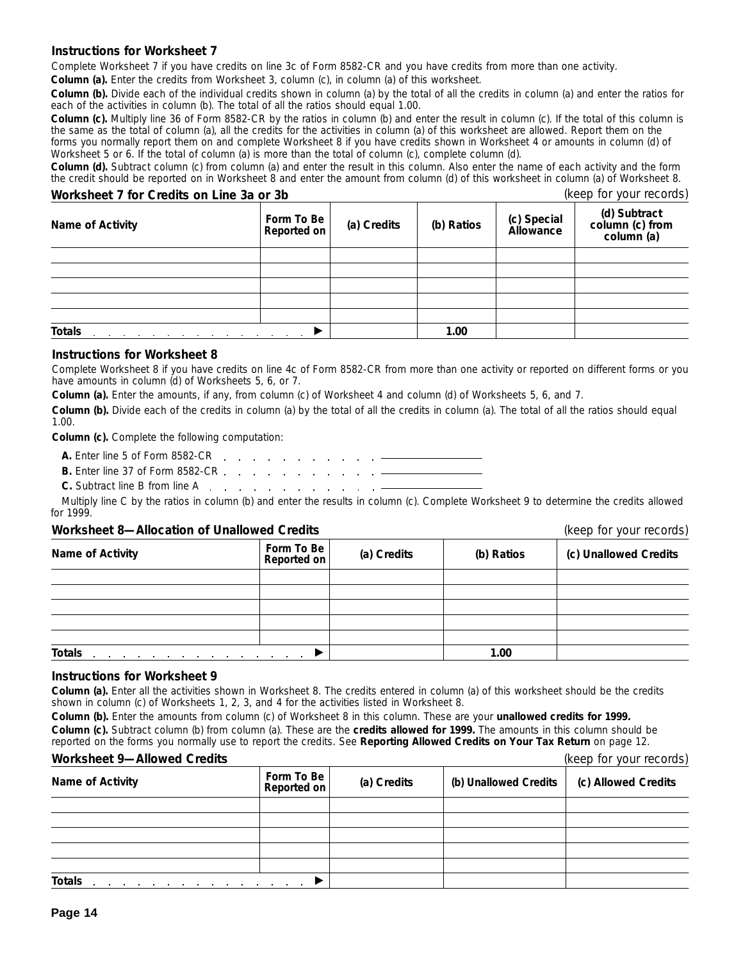#### **Instructions for Worksheet 7**

Complete Worksheet 7 if you have credits on line 3c of Form 8582-CR and you have credits from more than one activity.

**Column (a).** Enter the credits from Worksheet 3, column (c), in column (a) of this worksheet.

**Column (b).** Divide each of the individual credits shown in column (a) by the total of all the credits in column (a) and enter the ratios for each of the activities in column (b). The total of all the ratios should equal 1.00.

**Column (c).** Multiply line 36 of Form 8582-CR by the ratios in column (b) and enter the result in column (c). If the total of this column is the same as the total of column (a), all the credits for the activities in column (a) of this worksheet are allowed. Report them on the forms you normally report them on and complete Worksheet 8 if you have credits shown in Worksheet 4 or amounts in column (d) of Worksheet 5 or 6. If the total of column (a) is more than the total of column (c), complete column (d).

**Column (d).** Subtract column (c) from column (a) and enter the result in this column. Also enter the name of each activity and the form the credit should be reported on in Worksheet 8 and enter the amount from column (d) of this worksheet in column (a) of Worksheet 8.

#### **Worksheet 7 for Credits on Line 3a or 3b** (keep for your records)

| Name of Activity | Form To Be<br>Reported on | (a) Credits | (b) Ratios | (c) Special<br>Allowance | (d) Subtract<br>column (c) from<br>column (a) |
|------------------|---------------------------|-------------|------------|--------------------------|-----------------------------------------------|
|                  |                           |             |            |                          |                                               |
|                  |                           |             |            |                          |                                               |
|                  |                           |             |            |                          |                                               |
|                  |                           |             |            |                          |                                               |
|                  |                           |             |            |                          |                                               |
| <b>Totals</b>    |                           |             | 1.00       |                          |                                               |

#### **Instructions for Worksheet 8**

Complete Worksheet 8 if you have credits on line 4c of Form 8582-CR from more than one activity or reported on different forms or you have amounts in column (d) of Worksheets 5, 6, or 7.

**Column (a).** Enter the amounts, if any, from column (c) of Worksheet 4 and column (d) of Worksheets 5, 6, and 7.

**Column (b).** Divide each of the credits in column (a) by the total of all the credits in column (a). The total of all the ratios should equal 1.00.

**Column (c).** Complete the following computation:

- **A.** Enter line 5 of Form 8582-CR
- **B.** Enter line 37 of Form 8582-CR
- **C.** Subtract line B from line A . . . . . . . . . . . . . . .

Multiply line C by the ratios in column (b) and enter the results in column (c). Complete Worksheet 9 to determine the credits allowed for 1999.

#### **Worksheet 8—Allocation of Unallowed Credits** (keep for your records)

| Name of Activity                                                                                                | Form To Be<br>Reported on | (a) Credits | (b) Ratios | (c) Unallowed Credits |
|-----------------------------------------------------------------------------------------------------------------|---------------------------|-------------|------------|-----------------------|
|                                                                                                                 |                           |             |            |                       |
|                                                                                                                 |                           |             |            |                       |
|                                                                                                                 |                           |             |            |                       |
|                                                                                                                 |                           |             |            |                       |
|                                                                                                                 |                           |             |            |                       |
| <b>Totals</b><br>the control of the control of the control of the control of<br>the contract of the contract of |                           |             | 1.00       |                       |

#### **Instructions for Worksheet 9**

**Column (a).** Enter all the activities shown in Worksheet 8. The credits entered in column (a) of this worksheet should be the credits shown in column (c) of Worksheets 1, 2, 3, and 4 for the activities listed in Worksheet 8.

**Column (b).** Enter the amounts from column (c) of Worksheet 8 in this column. These are your **unallowed credits for 1999. Column (c).** Subtract column (b) from column (a). These are the **credits allowed for 1999.** The amounts in this column should be reported on the forms you normally use to report the credits. See **Reporting Allowed Credits on Your Tax Return** on page 12.

#### **Worksheet 9—Allowed Credits** (keep for your records)

| <u>WURSING A MIUWUU URUMO</u> |                           |             |                       | $(100)$ 101 $(001)$ 10001 001 |  |
|-------------------------------|---------------------------|-------------|-----------------------|-------------------------------|--|
| Name of Activity              | Form To Be<br>Reported on | (a) Credits | (b) Unallowed Credits | (c) Allowed Credits           |  |
|                               |                           |             |                       |                               |  |
|                               |                           |             |                       |                               |  |
|                               |                           |             |                       |                               |  |
|                               |                           |             |                       |                               |  |
|                               |                           |             |                       |                               |  |
| <b>Totals</b>                 |                           |             |                       |                               |  |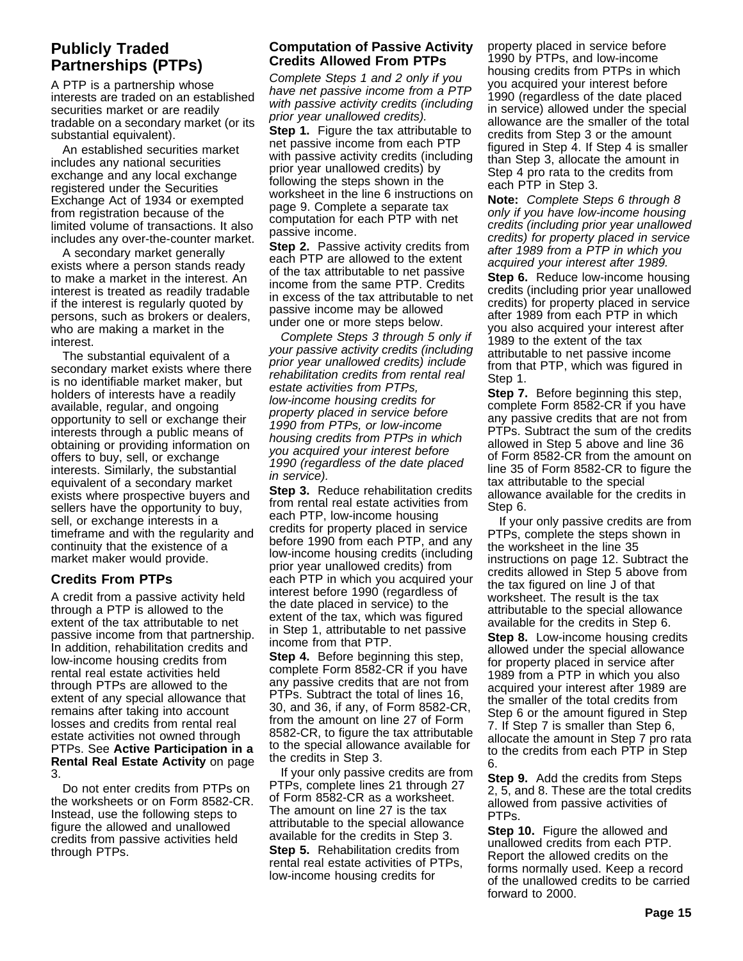# **Publicly Traded Partnerships (PTPs)**

A PTP is a partnership whose interests are traded on an established securities market or are readily tradable on a secondary market (or its substantial equivalent).

An established securities market includes any national securities exchange and any local exchange registered under the Securities Exchange Act of 1934 or exempted from registration because of the limited volume of transactions. It also includes any over-the-counter market.

A secondary market generally exists where a person stands ready to make a market in the interest. An interest is treated as readily tradable if the interest is regularly quoted by persons, such as brokers or dealers, who are making a market in the interest.

The substantial equivalent of a secondary market exists where there is no identifiable market maker, but holders of interests have a readily available, regular, and ongoing opportunity to sell or exchange their interests through a public means of obtaining or providing information on offers to buy, sell, or exchange interests. Similarly, the substantial equivalent of a secondary market exists where prospective buyers and sellers have the opportunity to buy, sell, or exchange interests in a timeframe and with the regularity and continuity that the existence of a market maker would provide.

# **Credits From PTPs**

A credit from a passive activity held through a PTP is allowed to the extent of the tax attributable to net passive income from that partnership. In addition, rehabilitation credits and low-income housing credits from rental real estate activities held through PTPs are allowed to the extent of any special allowance that remains after taking into account losses and credits from rental real estate activities not owned through PTPs. See **Active Participation in a Rental Real Estate Activity** on page 3.

Do not enter credits from PTPs on the worksheets or on Form 8582-CR. Instead, use the following steps to figure the allowed and unallowed credits from passive activities held through PTPs.

## **Computation of Passive Activity Credits Allowed From PTPs**

Complete Steps 1 and 2 only if you have net passive income from a PTP with passive activity credits (including prior year unallowed credits).

**Step 1.** Figure the tax attributable to net passive income from each PTP with passive activity credits (including prior year unallowed credits) by following the steps shown in the worksheet in the line 6 instructions on page 9. Complete a separate tax computation for each PTP with net passive income.

**Step 2.** Passive activity credits from each PTP are allowed to the extent of the tax attributable to net passive income from the same PTP. Credits in excess of the tax attributable to net passive income may be allowed under one or more steps below.

Complete Steps 3 through 5 only if your passive activity credits (including prior year unallowed credits) include rehabilitation credits from rental real estate activities from PTPs, low-income housing credits for property placed in service before 1990 from PTPs, or low-income housing credits from PTPs in which you acquired your interest before 1990 (regardless of the date placed in service).

**Step 3.** Reduce rehabilitation credits from rental real estate activities from each PTP, low-income housing credits for property placed in service before 1990 from each PTP, and any low-income housing credits (including prior year unallowed credits) from each PTP in which you acquired your interest before 1990 (regardless of the date placed in service) to the extent of the tax, which was figured in Step 1, attributable to net passive income from that PTP.

**Step 4.** Before beginning this step, complete Form 8582-CR if you have any passive credits that are not from PTPs. Subtract the total of lines 16, 30, and 36, if any, of Form 8582-CR, from the amount on line 27 of Form 8582-CR, to figure the tax attributable to the special allowance available for the credits in Step 3.

If your only passive credits are from PTPs, complete lines 21 through 27 of Form 8582-CR as a worksheet. The amount on line 27 is the tax attributable to the special allowance available for the credits in Step 3. **Step 5.** Rehabilitation credits from rental real estate activities of PTPs,

low-income housing credits for

property placed in service before 1990 by PTPs, and low-income housing credits from PTPs in which you acquired your interest before 1990 (regardless of the date placed in service) allowed under the special allowance are the smaller of the total credits from Step 3 or the amount figured in Step 4. If Step 4 is smaller than Step 3, allocate the amount in Step 4 pro rata to the credits from each PTP in Step 3.

**Note:** Complete Steps 6 through 8 only if you have low-income housing credits (including prior year unallowed credits) for property placed in service after 1989 from a PTP in which you acquired your interest after 1989. **Step 6.** Reduce low-income housing credits (including prior year unallowed credits) for property placed in service after 1989 from each PTP in which you also acquired your interest after 1989 to the extent of the tax attributable to net passive income from that PTP, which was figured in Step 1.

**Step 7.** Before beginning this step, complete Form 8582-CR if you have any passive credits that are not from PTPs. Subtract the sum of the credits allowed in Step 5 above and line 36 of Form 8582-CR from the amount on line 35 of Form 8582-CR to figure the tax attributable to the special allowance available for the credits in Step 6.

If your only passive credits are from PTPs, complete the steps shown in the worksheet in the line 35 instructions on page 12. Subtract the credits allowed in Step 5 above from the tax figured on line J of that worksheet. The result is the tax attributable to the special allowance available for the credits in Step 6. **Step 8.** Low-income housing credits allowed under the special allowance for property placed in service after 1989 from a PTP in which you also acquired your interest after 1989 are the smaller of the total credits from Step 6 or the amount figured in Step 7. If Step 7 is smaller than Step 6, allocate the amount in Step 7 pro rata to the credits from each PTP in Step 6.

**Step 9.** Add the credits from Steps 2, 5, and 8. These are the total credits allowed from passive activities of PTPs.

**Step 10.** Figure the allowed and unallowed credits from each PTP. Report the allowed credits on the forms normally used. Keep a record of the unallowed credits to be carried forward to 2000.